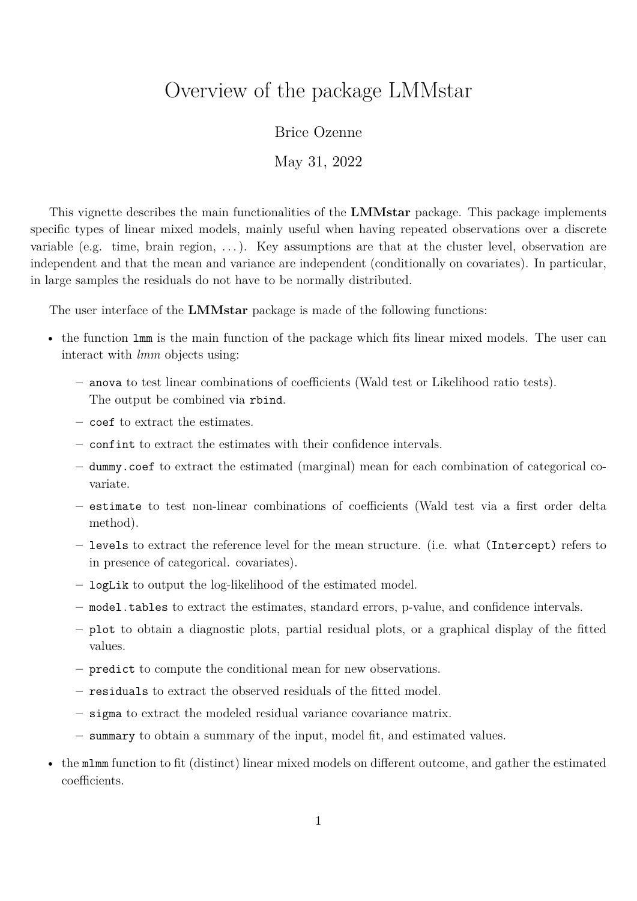# <span id="page-0-0"></span>Overview of the package LMMstar

Brice Ozenne

May 31, 2022

This vignette describes the main functionalities of the **LMMstar** package. This package implements specific types of linear mixed models, mainly useful when having repeated observations over a discrete variable (e.g. time, brain region,  $\dots$ ). Key assumptions are that at the cluster level, observation are independent and that the mean and variance are independent (conditionally on covariates). In particular, in large samples the residuals do not have to be normally distributed.

The user interface of the **LMMstar** package is made of the following functions:

- the function lmm is the main function of the package which fits linear mixed models. The user can interact with *lmm* objects using:
	- **–** anova to test linear combinations of coefficients (Wald test or Likelihood ratio tests). The output be combined via rbind.
	- **–** coef to extract the estimates.
	- **–** confint to extract the estimates with their confidence intervals.
	- **–** dummy.coef to extract the estimated (marginal) mean for each combination of categorical covariate.
	- **–** estimate to test non-linear combinations of coefficients (Wald test via a first order delta method).
	- **–** levels to extract the reference level for the mean structure. (i.e. what (Intercept) refers to in presence of categorical. covariates).
	- **–** logLik to output the log-likelihood of the estimated model.
	- **–** model.tables to extract the estimates, standard errors, p-value, and confidence intervals.
	- **–** plot to obtain a diagnostic plots, partial residual plots, or a graphical display of the fitted values.
	- **–** predict to compute the conditional mean for new observations.
	- **–** residuals to extract the observed residuals of the fitted model.
	- **–** sigma to extract the modeled residual variance covariance matrix.
	- **–** summary to obtain a summary of the input, model fit, and estimated values.
- the mlmm function to fit (distinct) linear mixed models on different outcome, and gather the estimated coefficients.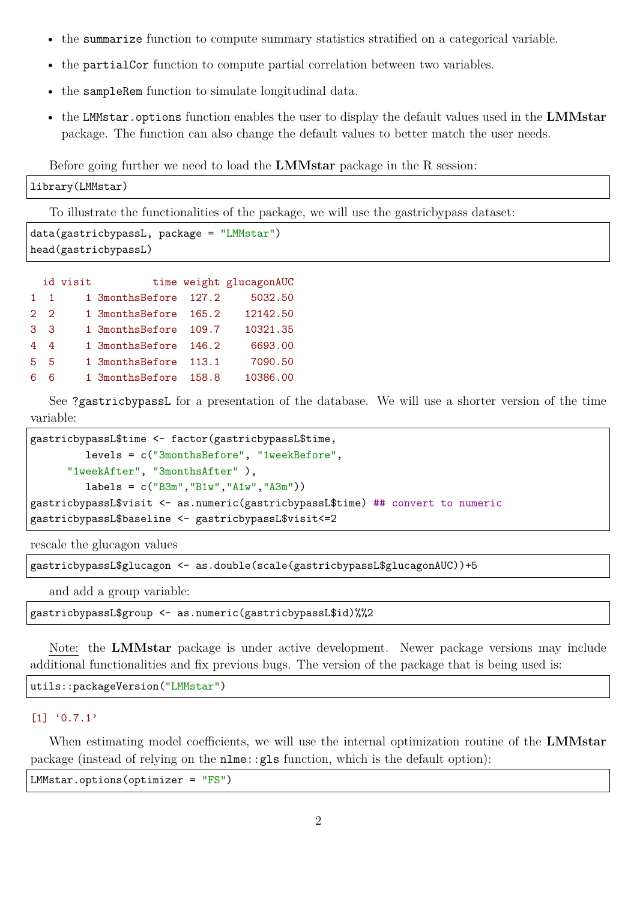- the summarize function to compute summary statistics stratified on a categorical variable.
- the partialCor function to compute partial correlation between two variables.
- the sampleRem function to simulate longitudinal data.
- the LMMstar.options function enables the user to display the default values used in the **LMMstar** package. The function can also change the default values to better match the user needs.

Before going further we need to load the **LMMstar** package in the R session:

```
library(LMMstar)
```
To illustrate the functionalities of the package, we will use the gastricbypass dataset:

```
data(gastricbypassL, package = "LMMstar")
head(gastricbypassL)
```

|                | id visit |                 |       | time weight glucagonAUC |
|----------------|----------|-----------------|-------|-------------------------|
| $1 \quad 1$    |          | 1 3monthsBefore | 127.2 | 5032.50                 |
| $2^{2}$        |          | 1 3monthsBefore | 165.2 | 12142.50                |
| 3 <sup>3</sup> |          | 1 3monthsBefore | 109.7 | 10321.35                |
| 44             |          | 1 3monthsBefore | 146.2 | 6693.00                 |
| 5 <sub>5</sub> |          | 1 3monthsBefore | 113.1 | 7090.50                 |
| 6              |          | 1 3monthsBefore | 158.8 | 10386.00                |

See ?gastricbypassL for a presentation of the database. We will use a shorter version of the time variable:

```
gastricbypassL$time <- factor(gastricbypassL$time,
         levels = c("3monthsBefore", "1weekBefore",
      "1weekAfter", "3monthsAfter" ),
         labels = c("B3m", "Blw", "Alw", "A3m")gastricbypassL$visit <- as.numeric(gastricbypassL$time) ## convert to numeric
gastricbypassL$baseline <- gastricbypassL$visit<=2
```
rescale the glucagon values

gastricbypassL\$glucagon <- as.double(scale(gastricbypassL\$glucagonAUC))+5

and add a group variable:

gastricbypassL\$group <- as.numeric(gastricbypassL\$id)%%2

Note: the **LMMstar** package is under active development. Newer package versions may include additional functionalities and fix previous bugs. The version of the package that is being used is:

utils::packageVersion("LMMstar")

#### [1] '0.7.1'

When estimating model coefficients, we will use the internal optimization routine of the **LMMstar** package (instead of relying on the nlme::gls function, which is the default option):

LMMstar.options(optimizer = "FS")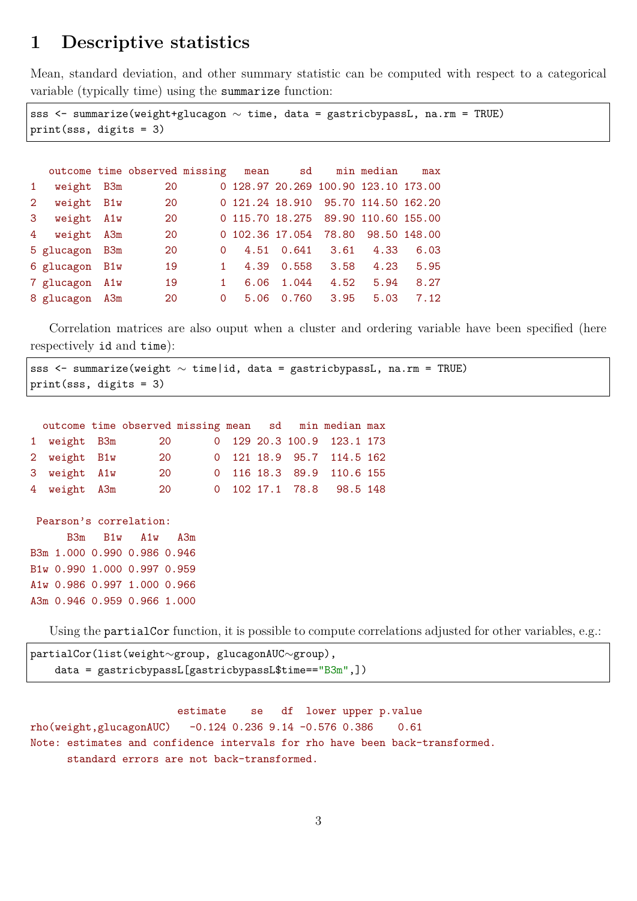## **1 Descriptive statistics**

Mean, standard deviation, and other summary statistic can be computed with respect to a categorical variable (typically time) using the summarize function:

```
sss <- summarize(weight+glucagon \sim time, data = gastricbypassL, na.rm = TRUE)
print(sss, digits = 3)
```

|                |                | outcome time observed missing |              | mean            | sd                   |      | min median                           | max  |
|----------------|----------------|-------------------------------|--------------|-----------------|----------------------|------|--------------------------------------|------|
| 1              | weight B3m     | 20                            |              |                 |                      |      | 0 128.97 20.269 100.90 123.10 173.00 |      |
| 2 <sup>1</sup> | weight B1w     | <b>20</b>                     |              |                 |                      |      | 0 121.24 18.910 95.70 114.50 162.20  |      |
| 3              | weight A1w     | 20                            |              |                 |                      |      | 0 115.70 18.275 89.90 110.60 155.00  |      |
|                | 4 weight A3m   | 20                            |              | 0 102.36 17.054 |                      |      | 78.80 98.50 148.00                   |      |
|                | 5 glucagon B3m | 20                            | $\Omega$     |                 | 4.51 0.641 3.61 4.33 |      |                                      | 6.03 |
|                | 6 glucagon B1w | 19                            |              |                 | 4.39 0.558           | 3.58 | 4.23                                 | 5.95 |
|                | 7 glucagon A1w | 19                            | $\mathbf{1}$ | 6.06            | 1.044                | 4.52 | 5.94                                 | 8.27 |
|                | 8 glucagon A3m | 20                            | $\Omega$     |                 | 5.06 0.760           | 3.95 | 5.03                                 | 7.12 |

Correlation matrices are also ouput when a cluster and ordering variable have been specified (here respectively id and time):

|  | sss <- summarize(weight $\sim$ time id, data = gastricbypassL, na.rm = TRUE) |  |  |  |  |  |
|--|------------------------------------------------------------------------------|--|--|--|--|--|
|  | $print(sss, digits = 3)$                                                     |  |  |  |  |  |

|              | outcome time observed missing mean sd min median max |  |  |                            |  |
|--------------|------------------------------------------------------|--|--|----------------------------|--|
| 1 weight B3m | <b>20</b>                                            |  |  | 0 129 20.3 100.9 123.1 173 |  |
| 2 weight B1w | 20                                                   |  |  | 0 121 18.9 95.7 114.5 162  |  |
| 3 weight A1w | 20                                                   |  |  | 0 116 18.3 89.9 110.6 155  |  |
| 4 weight A3m | <b>20</b>                                            |  |  | 0 102 17.1 78.8 98.5 148   |  |

```
Pearson's correlation:
     B3m B1w A1w A3m
B3m 1.000 0.990 0.986 0.946
B1w 0.990 1.000 0.997 0.959
A1w 0.986 0.997 1.000 0.966
A3m 0.946 0.959 0.966 1.000
```
Using the **partialCor** function, it is possible to compute correlations adjusted for other variables, e.g.:

```
partialCor(list(weight∼group, glucagonAUC∼group),
   data = gastricbypassL[gastricbypassL$time=="B3m",])
```
estimate se df lower upper p.value rho(weight,glucagonAUC) -0.124 0.236 9.14 -0.576 0.386 0.61 Note: estimates and confidence intervals for rho have been back-transformed. standard errors are not back-transformed.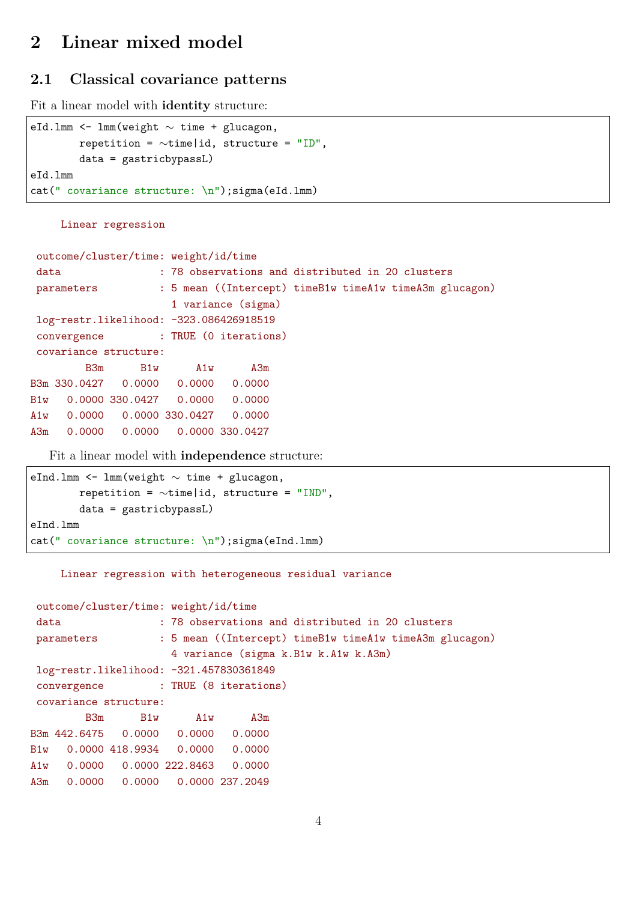# **2 Linear mixed model**

### **2.1 Classical covariance patterns**

Fit a linear model with **identity** structure:

```
eId.lmm <- lmm(weight ∼ time + glucagon,
        repetition = ∼time|id, structure = "ID",
       data = gastricbypassL)
eId.lmm
cat(" covariance structure: \n");sigma(eId.lmm)
```
#### Linear regression

```
outcome/cluster/time: weight/id/time
data : 78 observations and distributed in 20 clusters
parameters : 5 mean ((Intercept) timeB1w timeA1w timeA3m glucagon)
                    1 variance (sigma)
log-restr.likelihood: -323.086426918519
convergence : TRUE (0 iterations)
covariance structure:
       B3m B1w A1w A3m
B3m 330.0427 0.0000 0.0000 0.0000
B1w 0.0000 330.0427 0.0000 0.0000
A1w 0.0000 0.0000 330.0427 0.0000
A3m 0.0000 0.0000 0.0000 330.0427
```
Fit a linear model with **independence** structure:

```
eInd.lmm <- lmm(weight ∼ time + glucagon,
       repetition = ∼time|id, structure = "IND",
       data = gastricbypassL)
eInd.lmm
cat(" covariance structure: \n");sigma(eInd.lmm)
```
#### Linear regression with heterogeneous residual variance

| B <sub>3m</sub> |            |     |                              | A3m                        |                                                                                                                                                                             |                                   |                                      |                                                                                                             |
|-----------------|------------|-----|------------------------------|----------------------------|-----------------------------------------------------------------------------------------------------------------------------------------------------------------------------|-----------------------------------|--------------------------------------|-------------------------------------------------------------------------------------------------------------|
|                 |            |     |                              |                            |                                                                                                                                                                             |                                   |                                      |                                                                                                             |
|                 |            |     |                              |                            |                                                                                                                                                                             |                                   |                                      |                                                                                                             |
|                 |            |     |                              |                            |                                                                                                                                                                             |                                   |                                      |                                                                                                             |
|                 |            |     |                              |                            |                                                                                                                                                                             |                                   |                                      |                                                                                                             |
|                 | parameters | B1w | covariance structure:<br>A1w | B1w 0.0000 418.9934 0.0000 | outcome/cluster/time: weight/id/time<br>log-restr.likelihood: -321.457830361849<br>0.0000<br>$0.0000$ $0.0000$ $222.8463$ $0.0000$<br>$0.0000$ $0.0000$ $0.0000$ $237.2049$ | convergence : TRUE (8 iterations) | 4 variance (sigma k.B1w k.A1w k.A3m) | : 78 observations and distributed in 20 clusters<br>: 5 mean ((Intercept) timeB1w timeA1w timeA3m glucagon) |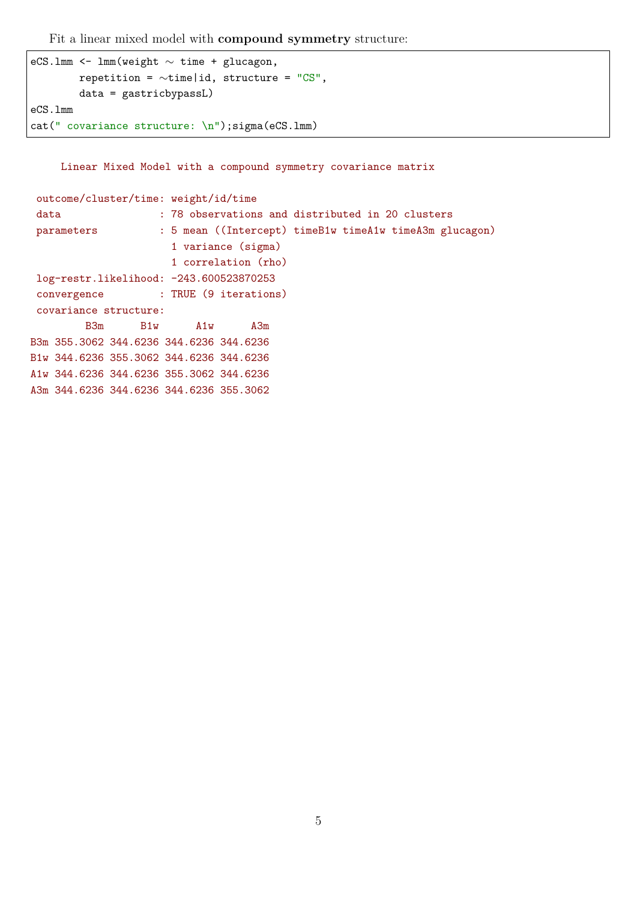Fit a linear mixed model with **compound symmetry** structure:

```
eCS.lmm <- lmm(weight ∼ time + glucagon,
        repetition = ∼time|id, structure = "CS",
       data = gastricbypassL)
eCS.lmm
cat(" covariance structure: \n");sigma(eCS.lmm)
```
Linear Mixed Model with a compound symmetry covariance matrix

```
outcome/cluster/time: weight/id/time
 data : 78 observations and distributed in 20 clusters
parameters : 5 mean ((Intercept) timeB1w timeA1w timeA3m glucagon)
                     1 variance (sigma)
                     1 correlation (rho)
log-restr.likelihood: -243.600523870253
 convergence : TRUE (9 iterations)
covariance structure:
        B3m B1w A1w A3m
B3m 355.3062 344.6236 344.6236 344.6236
B1w 344.6236 355.3062 344.6236 344.6236
A1w 344.6236 344.6236 355.3062 344.6236
A3m 344.6236 344.6236 344.6236 355.3062
```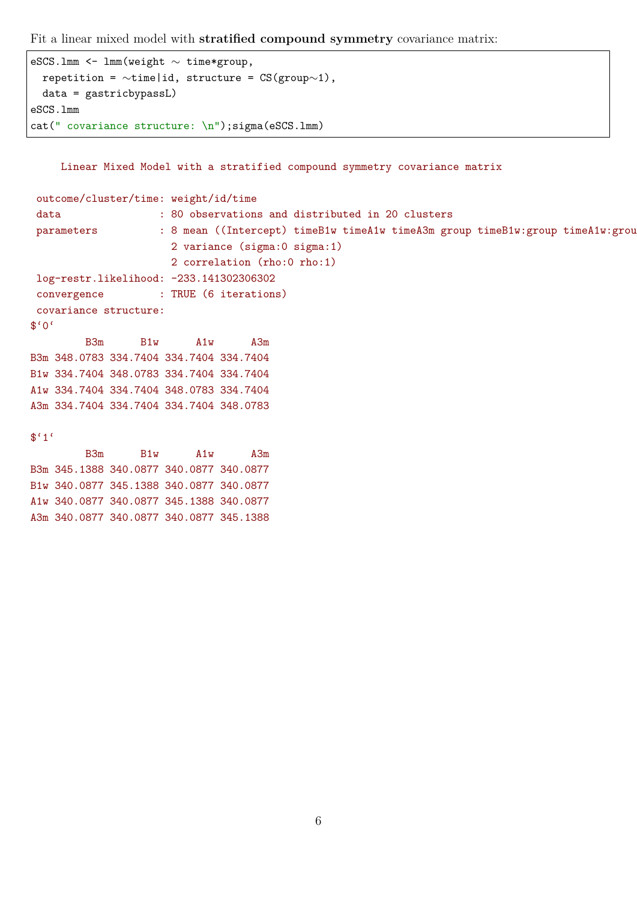Fit a linear mixed model with **stratified compound symmetry** covariance matrix:

```
eSCS.lmm <- lmm(weight ∼ time*group,
 repetition = \simtime|id, structure = CS(group∼1),
 data = gastricbypassL)
eSCS.lmm
cat(" covariance structure: \n");sigma(eSCS.lmm)
```
Linear Mixed Model with a stratified compound symmetry covariance matrix

```
outcome/cluster/time: weight/id/time
 data : 80 observations and distributed in 20 clusters
parameters : 8 mean ((Intercept) timeB1w timeA1w timeA3m group timeB1w:group timeA1w:grou
                     2 variance (sigma:0 sigma:1)
                     2 correlation (rho:0 rho:1)
log-restr.likelihood: -233.141302306302
convergence : TRUE (6 iterations)
covariance structure:
$°0'B3m B1w A1w A3m
B3m 348.0783 334.7404 334.7404 334.7404
B1w 334.7404 348.0783 334.7404 334.7404
A1w 334.7404 334.7404 348.0783 334.7404
A3m 334.7404 334.7404 334.7404 348.0783
$^{\epsilon}1^{\epsilon}B3m B1w A1w A3m
```
B3m 345.1388 340.0877 340.0877 340.0877 B1w 340.0877 345.1388 340.0877 340.0877 A1w 340.0877 340.0877 345.1388 340.0877 A3m 340.0877 340.0877 340.0877 345.1388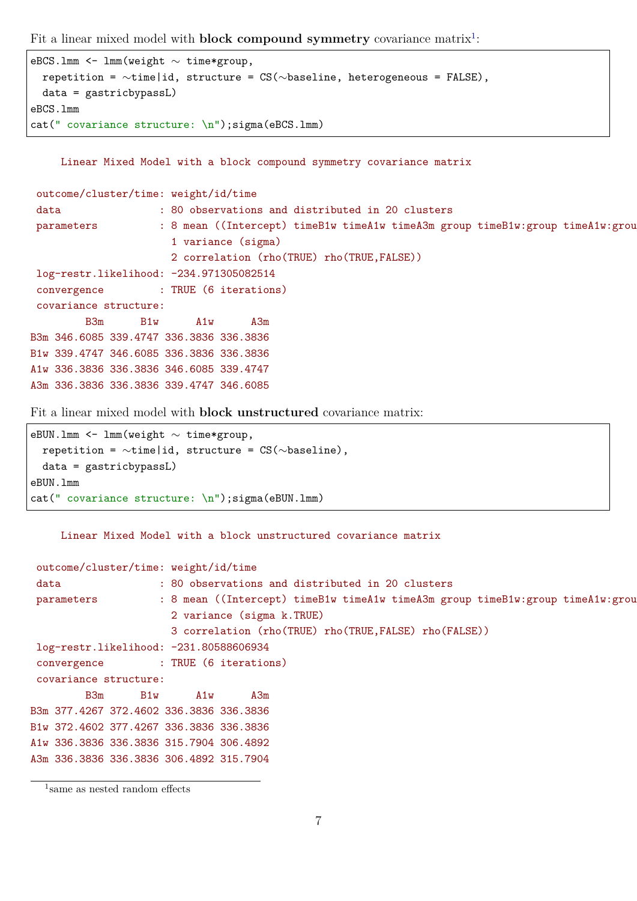Fit a linear mixed model with **block compound symmetry** covariance matrix<sup>[1](#page-0-0)</sup>:

```
eBCS.lmm <- lmm(weight ∼ time*group,
 repetition = ∼time|id, structure = CS(∼baseline, heterogeneous = FALSE),
 data = gastricbypassL)
eBCS.lmm
cat(" covariance structure: \n");sigma(eBCS.lmm)
```
Linear Mixed Model with a block compound symmetry covariance matrix

```
outcome/cluster/time: weight/id/time
data : 80 observations and distributed in 20 clusters
parameters : 8 mean ((Intercept) timeB1w timeA1w timeA3m group timeB1w:group timeA1w:grou
                     1 variance (sigma)
                     2 correlation (rho(TRUE) rho(TRUE,FALSE))
log-restr.likelihood: -234.971305082514
convergence : TRUE (6 iterations)
covariance structure:
        B3m B1w A1w A3m
B3m 346.6085 339.4747 336.3836 336.3836
B1w 339.4747 346.6085 336.3836 336.3836
A1w 336.3836 336.3836 346.6085 339.4747
A3m 336.3836 336.3836 339.4747 346.6085
```
Fit a linear mixed model with **block unstructured** covariance matrix:

```
eBUN.lmm <- lmm(weight ∼ time*group,
 repetition = ∼time|id, structure = CS(∼baseline),
 data = gastricbypassL)
eBUN.lmm
cat(" covariance structure: \n");sigma(eBUN.lmm)
```
Linear Mixed Model with a block unstructured covariance matrix

```
outcome/cluster/time: weight/id/time
data : 80 observations and distributed in 20 clusters
parameters : 8 mean ((Intercept) timeB1w timeA1w timeA3m group timeB1w:group timeA1w:grou
                     2 variance (sigma k.TRUE)
                     3 correlation (rho(TRUE) rho(TRUE,FALSE) rho(FALSE))
log-restr.likelihood: -231.80588606934
convergence : TRUE (6 iterations)
covariance structure:
        B3m B1w A1w A3m
B3m 377.4267 372.4602 336.3836 336.3836
B1w 372.4602 377.4267 336.3836 336.3836
A1w 336.3836 336.3836 315.7904 306.4892
A3m 336.3836 336.3836 306.4892 315.7904
```
<sup>1</sup> same as nested random effects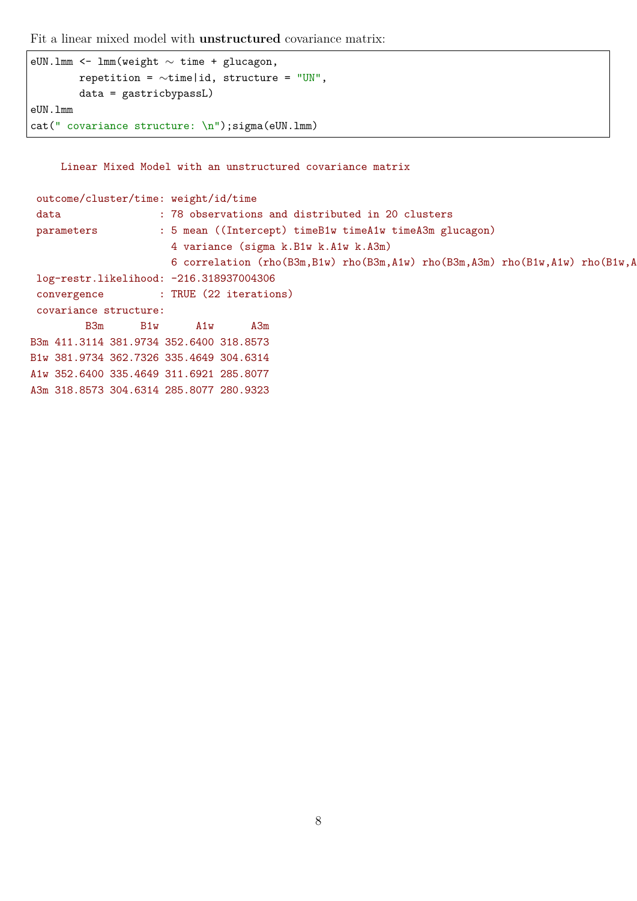Fit a linear mixed model with **unstructured** covariance matrix:

```
eUN.lmm <- lmm(weight ∼ time + glucagon,
        repetition = \simtime|id, structure = "UN",
        data = gastricbypassL)
eUN.lmm
cat(" covariance structure: \n");sigma(eUN.lmm)
```
Linear Mixed Model with an unstructured covariance matrix

| outcome/cluster/time: weight/id/time                     |     |     |     |  |                                                         |                                                                                   |  |  |  |  |  |
|----------------------------------------------------------|-----|-----|-----|--|---------------------------------------------------------|-----------------------------------------------------------------------------------|--|--|--|--|--|
| : 78 observations and distributed in 20 clusters<br>data |     |     |     |  |                                                         |                                                                                   |  |  |  |  |  |
| parameters                                               |     |     |     |  | : 5 mean ((Intercept) timeB1w timeA1w timeA3m glucagon) |                                                                                   |  |  |  |  |  |
| 4 variance (sigma k.B1w k.A1w k.A3m)                     |     |     |     |  |                                                         |                                                                                   |  |  |  |  |  |
|                                                          |     |     |     |  |                                                         | 6 correlation (rho(B3m, B1w) rho(B3m, A1w) rho(B3m, A3m) rho(B1w, A1w) rho(B1w, A |  |  |  |  |  |
| log-restr.likelihood: -216.318937004306                  |     |     |     |  |                                                         |                                                                                   |  |  |  |  |  |
| convergence : TRUE (22 iterations)                       |     |     |     |  |                                                         |                                                                                   |  |  |  |  |  |
| covariance structure:                                    |     |     |     |  |                                                         |                                                                                   |  |  |  |  |  |
| B <sub>3m</sub>                                          | B1w | A1w | A3m |  |                                                         |                                                                                   |  |  |  |  |  |
| B3m 411.3114 381.9734 352.6400 318.8573                  |     |     |     |  |                                                         |                                                                                   |  |  |  |  |  |
| B1w 381.9734 362.7326 335.4649 304.6314                  |     |     |     |  |                                                         |                                                                                   |  |  |  |  |  |
| A1w 352.6400 335.4649 311.6921 285.8077                  |     |     |     |  |                                                         |                                                                                   |  |  |  |  |  |
| A3m 318.8573 304.6314 285.8077 280.9323                  |     |     |     |  |                                                         |                                                                                   |  |  |  |  |  |
|                                                          |     |     |     |  |                                                         |                                                                                   |  |  |  |  |  |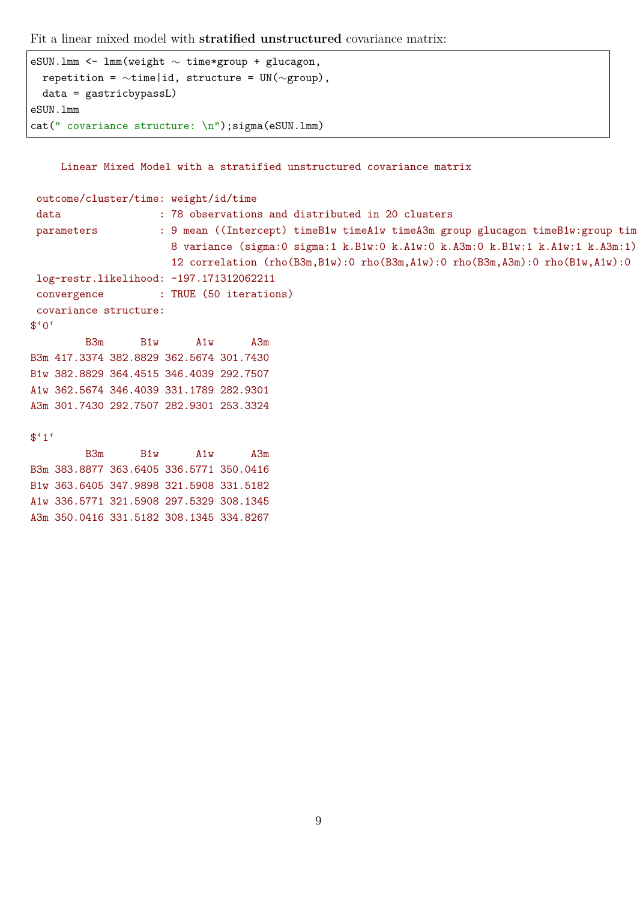Fit a linear mixed model with **stratified unstructured** covariance matrix:

```
eSUN.lmm <- lmm(weight ∼ time*group + glucagon,
 repetition = ∼time|id, structure = UN(∼group),
 data = gastricbypassL)
eSUN.lmm
cat(" covariance structure: \n");sigma(eSUN.lmm)
```
A1w 336.5771 321.5908 297.5329 308.1345 A3m 350.0416 331.5182 308.1345 334.8267

Linear Mixed Model with a stratified unstructured covariance matrix

```
outcome/cluster/time: weight/id/time
 data : 78 observations and distributed in 20 clusters
 parameters : 9 mean ((Intercept) timeB1w timeA1w timeA3m group glucagon timeB1w:group tim
                     8 variance (sigma:0 sigma:1 k.B1w:0 k.A1w:0 k.A3m:0 k.B1w:1 k.A1w:1 k.A3m:1)
                     12 correlation (rho(B3m,B1w):0 rho(B3m,A1w):0 rho(B3m,A3m):0 rho(B1w,A1w):0
log-restr.likelihood: -197.171312062211
 convergence : TRUE (50 iterations)
covariance structure:
$°0'B3m B1w A1w A3m
B3m 417.3374 382.8829 362.5674 301.7430
B1w 382.8829 364.4515 346.4039 292.7507
A1w 362.5674 346.4039 331.1789 282.9301
A3m 301.7430 292.7507 282.9301 253.3324
$^{\epsilon}1^{\epsilon}B3m B1w A1w A3m
B3m 383.8877 363.6405 336.5771 350.0416
B1w 363.6405 347.9898 321.5908 331.5182
```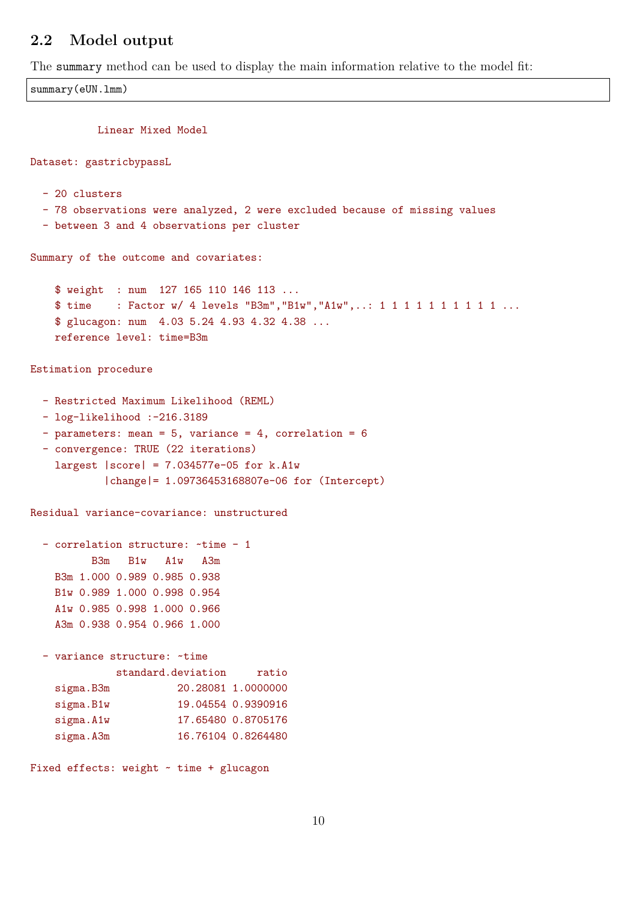### **2.2 Model output**

The summary method can be used to display the main information relative to the model fit:

```
summary(eUN.lmm)
          Linear Mixed Model
Dataset: gastricbypassL
  - 20 clusters
  - 78 observations were analyzed, 2 were excluded because of missing values
  - between 3 and 4 observations per cluster
Summary of the outcome and covariates:
    $ weight : num 127 165 110 146 113 ...
    $ time : Factor w/ 4 levels "B3m", "B1w", "A1w",..: 1 1 1 1 1 1 1 1 1 1 1 ...
    $ glucagon: num 4.03 5.24 4.93 4.32 4.38 ...
   reference level: time=B3m
Estimation procedure
  - Restricted Maximum Likelihood (REML)
  - log-likelihood :-216.3189
  - parameters: mean = 5, variance = 4, correlation = 6
  - convergence: TRUE (22 iterations)
    largest |score| = 7.034577e-05 for k.A1w|change|= 1.09736453168807e-06 for (Intercept)
Residual variance-covariance: unstructured
  - correlation structure: ~time - 1
         B3m B1w A1w A3m
   B3m 1.000 0.989 0.985 0.938
   B1w 0.989 1.000 0.998 0.954
   A1w 0.985 0.998 1.000 0.966
   A3m 0.938 0.954 0.966 1.000
  - variance structure: ~time
             standard.deviation ratio
    sigma.B3m 20.28081 1.0000000
   sigma.B1w 19.04554 0.9390916
    sigma.A1w 17.65480 0.8705176
    sigma.A3m 16.76104 0.8264480
Fixed effects: weight \sim time + glucagon
```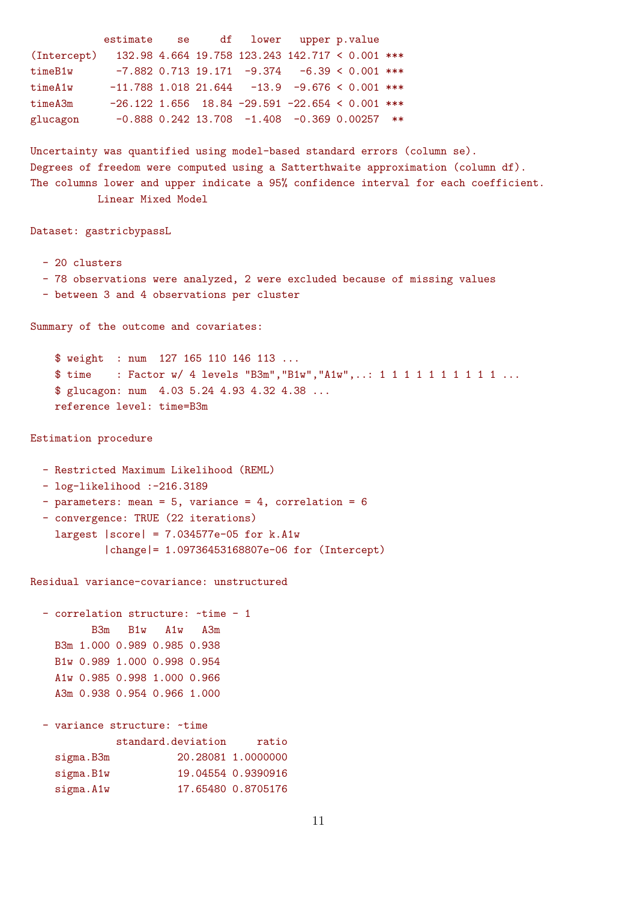```
estimate se df lower upper p.value
(Intercept) 132.98 4.664 19.758 123.243 142.717 < 0.001 ***
timeB1w -7.882 0.713 19.171 -9.374 -6.39 < 0.001 ***
timeA1w -11.788 1.018 21.644 -13.9 -9.676 < 0.001 ***
timeA3m -26.122 1.656 18.84 -29.591 -22.654 < 0.001 ***
glucagon -0.888 0.242 13.708 -1.408 -0.369 0.00257 **
Uncertainty was quantified using model-based standard errors (column se).
Degrees of freedom were computed using a Satterthwaite approximation (column df).
The columns lower and upper indicate a 95% confidence interval for each coefficient.
          Linear Mixed Model
Dataset: gastricbypassL
 - 20 clusters
 - 78 observations were analyzed, 2 were excluded because of missing values
  - between 3 and 4 observations per cluster
Summary of the outcome and covariates:
   $ weight : num 127 165 110 146 113 ...
   $ time : Factor w/ 4 levels "B3m", "B1w", "A1w",..: 1 1 1 1 1 1 1 1 1 1 ...
   $ glucagon: num 4.03 5.24 4.93 4.32 4.38 ...
   reference level: time=B3m
Estimation procedure
  - Restricted Maximum Likelihood (REML)
  - log-likelihood :-216.3189
  - parameters: mean = 5, variance = 4, correlation = 6
 - convergence: TRUE (22 iterations)
    largest |score| = 7.034577e-05 for k.A1w
           |change|= 1.09736453168807e-06 for (Intercept)
Residual variance-covariance: unstructured
  - correlation structure: ~time - 1
         B3m B1w A1w A3m
   B3m 1.000 0.989 0.985 0.938
   B1w 0.989 1.000 0.998 0.954
   A1w 0.985 0.998 1.000 0.966
   A3m 0.938 0.954 0.966 1.000
```
- variance structure: ~time standard.deviation ratio sigma.B3m 20.28081 1.0000000 sigma.B1w 19.04554 0.9390916 sigma.A1w 17.65480 0.8705176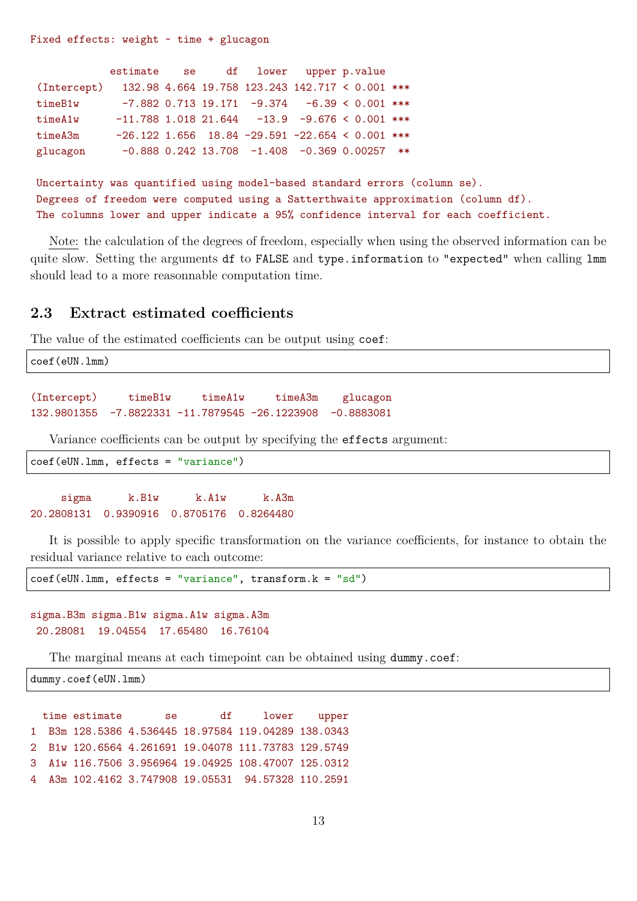Fixed effects: weight  $\sim$  time + glucagon

|                                                             | estimate se df lower upper p.value |  |                                                    |  |  |
|-------------------------------------------------------------|------------------------------------|--|----------------------------------------------------|--|--|
| (Intercept) 132.98 4.664 19.758 123.243 142.717 < 0.001 *** |                                    |  |                                                    |  |  |
| timeB1w                                                     |                                    |  | $-7.882$ 0.713 19.171 $-9.374$ $-6.39$ < 0.001 *** |  |  |
| timeA1w                                                     |                                    |  | $-11.788$ 1.018 21.644 $-13.9$ -9.676 < 0.001 ***  |  |  |
| timeA3m                                                     |                                    |  | $-26.122$ 1.656 18.84 -29.591 -22.654 < 0.001 ***  |  |  |
| glucagon                                                    |                                    |  | $-0.888$ 0.242 13.708 $-1.408$ $-0.369$ 0.00257 ** |  |  |

Uncertainty was quantified using model-based standard errors (column se). Degrees of freedom were computed using a Satterthwaite approximation (column df). The columns lower and upper indicate a 95% confidence interval for each coefficient.

Note: the calculation of the degrees of freedom, especially when using the observed information can be quite slow. Setting the arguments df to FALSE and type.information to "expected" when calling  $lmm$ should lead to a more reasonnable computation time.

### **2.3 Extract estimated coefficients**

The value of the estimated coefficients can be output using coef:

```
coef(eUN.lmm)
(Intercept) timeB1w timeA1w timeA3m glucagon
132.9801355 -7.8822331 -11.7879545 -26.1223908 -0.8883081
```
Variance coefficients can be output by specifying the effects argument:

coef(eUN.lmm, effects = "variance")

sigma k.B1w k.A1w k.A3m 20.2808131 0.9390916 0.8705176 0.8264480

It is possible to apply specific transformation on the variance coefficients, for instance to obtain the residual variance relative to each outcome:

 $\text{coeff}(eUN.lmm, effects = "variance", transform.k = "sd")$ 

```
sigma.B3m sigma.B1w sigma.A1w sigma.A3m
 20.28081 19.04554 17.65480 16.76104
```
The marginal means at each timepoint can be obtained using dummy.coef:

dummy.coef(eUN.lmm)

time estimate se df lower upper 1 B3m 128.5386 4.536445 18.97584 119.04289 138.0343 2 B1w 120.6564 4.261691 19.04078 111.73783 129.5749 3 A1w 116.7506 3.956964 19.04925 108.47007 125.0312 4 A3m 102.4162 3.747908 19.05531 94.57328 110.2591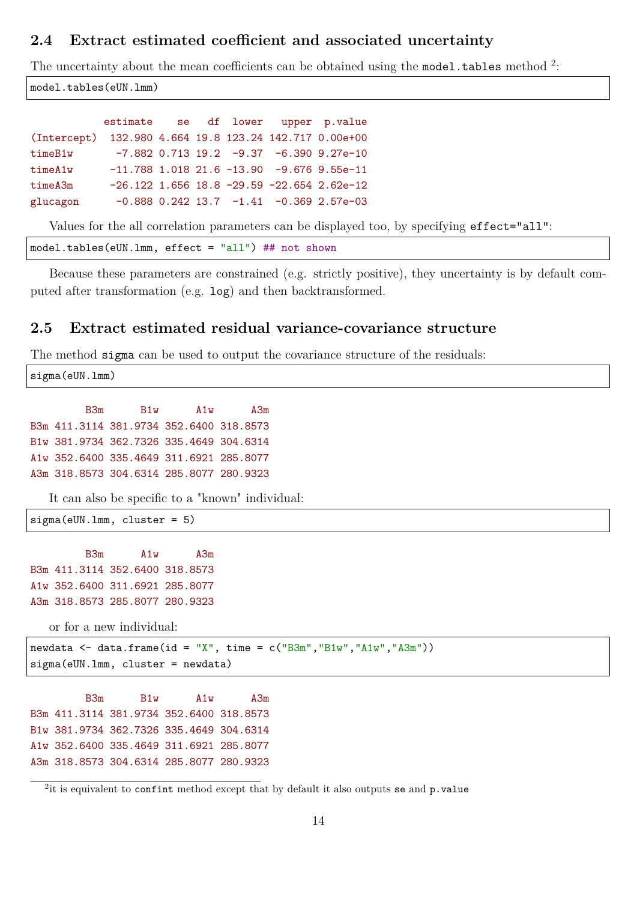### **2.4 Extract estimated coefficient and associated uncertainty**

The uncertainty about the mean coefficients can be obtained using the model.tables method  $2$ :

model.tables(eUN.lmm)

|                                                        | estimate se df lower upper p.value |  |  |                                                  |
|--------------------------------------------------------|------------------------------------|--|--|--------------------------------------------------|
| (Intercept) 132.980 4.664 19.8 123.24 142.717 0.00e+00 |                                    |  |  |                                                  |
| timeB1w                                                |                                    |  |  | $-7.882$ 0.713 19.2 $-9.37$ $-6.390$ 9.27e-10    |
| timeA1w                                                |                                    |  |  | $-11.788$ 1.018 21.6 $-13.90$ -9.676 9.55e-11    |
| timeA3m                                                |                                    |  |  | $-26.122$ 1.656 18.8 $-29.59$ $-22.654$ 2.62e-12 |
| glucagon                                               |                                    |  |  | $-0.888$ 0.242 13.7 $-1.41$ $-0.369$ 2.57e-03    |

Values for the all correlation parameters can be displayed too, by specifying effect="all":

```
model.tables(eUN.lmm, effect = "all") ## not shown
```
Because these parameters are constrained (e.g. strictly positive), they uncertainty is by default computed after transformation (e.g. log) and then backtransformed.

### **2.5 Extract estimated residual variance-covariance structure**

The method sigma can be used to output the covariance structure of the residuals:

sigma(eUN.lmm)

B3m B1w A1w A3m B3m 411.3114 381.9734 352.6400 318.8573 B1w 381.9734 362.7326 335.4649 304.6314 A1w 352.6400 335.4649 311.6921 285.8077 A3m 318.8573 304.6314 285.8077 280.9323

It can also be specific to a "known" individual:

sigma(eUN.lmm, cluster = 5)

B3m A1w A3m B3m 411.3114 352.6400 318.8573 A1w 352.6400 311.6921 285.8077 A3m 318.8573 285.8077 280.9323

or for a new individual:

newdata  $\leq$  data.frame(id = "X", time = c("B3m","B1w","A1w","A3m")) sigma(eUN.lmm, cluster = newdata)

B3m B1w A1w A3m B3m 411.3114 381.9734 352.6400 318.8573 B1w 381.9734 362.7326 335.4649 304.6314 A1w 352.6400 335.4649 311.6921 285.8077 A3m 318.8573 304.6314 285.8077 280.9323

 $2$ it is equivalent to confint method except that by default it also outputs se and p.value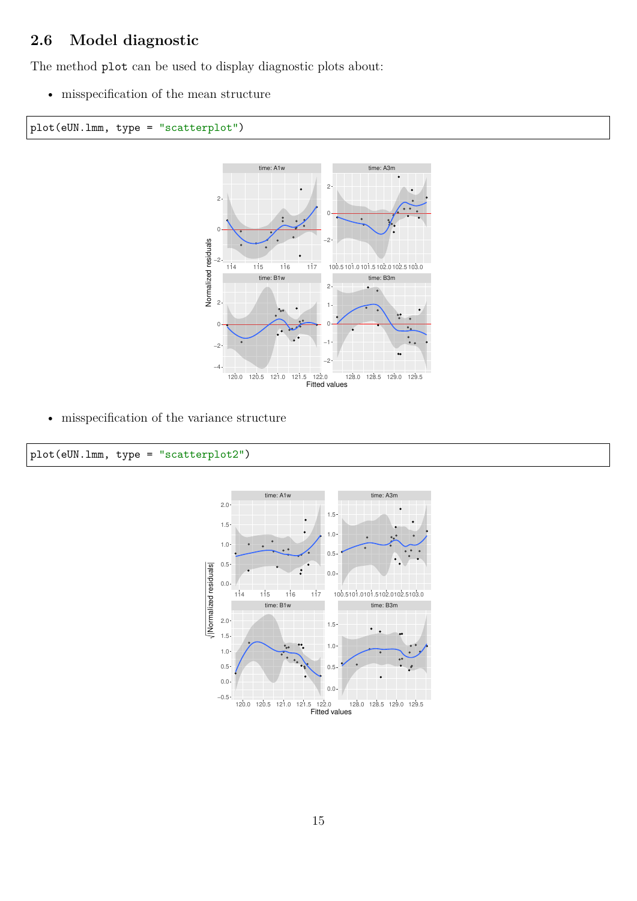## **2.6 Model diagnostic**

The method plot can be used to display diagnostic plots about:

• misspecification of the mean structure





• misspecification of the variance structure



#### plot(eUN.lmm, type = "scatterplot2")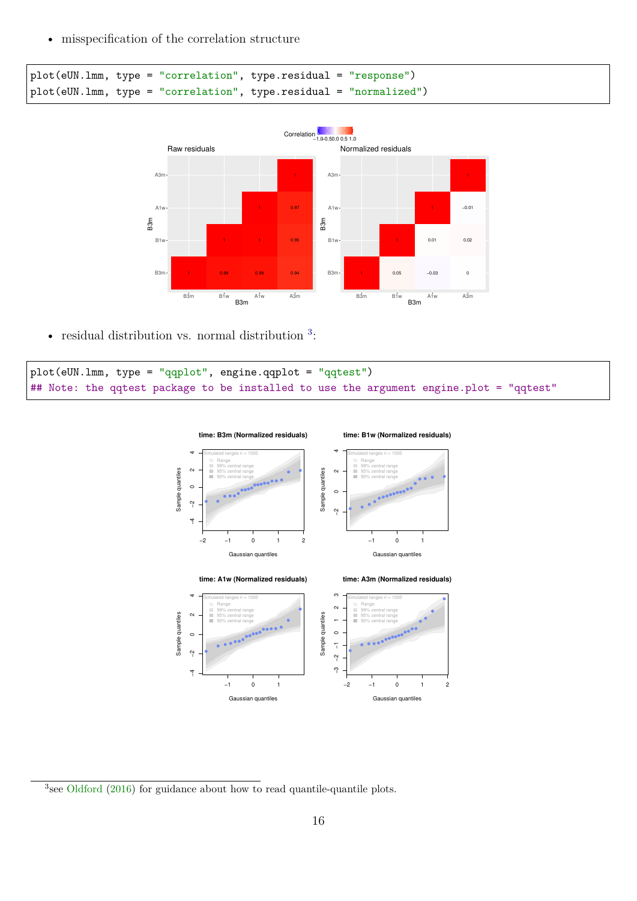• misspecification of the correlation structure

```
plot(eUN.lmm, type = "correlation", type.residual = "response")
plot(eUN.lmm, type = "correlation", type.residual = "normalized")
```


• residual distribution vs. normal distribution <sup>[3](#page-0-0)</sup>:

```
plot(eUN.lmm, type = "qqplot", engine.qqplot = "qqtest")
## Note: the qqtest package to be installed to use the argument engine.plot = "qqtest"
```


<sup>3</sup> see [Oldford](#page-42-0) [\(2016\)](#page-42-0) for guidance about how to read quantile-quantile plots.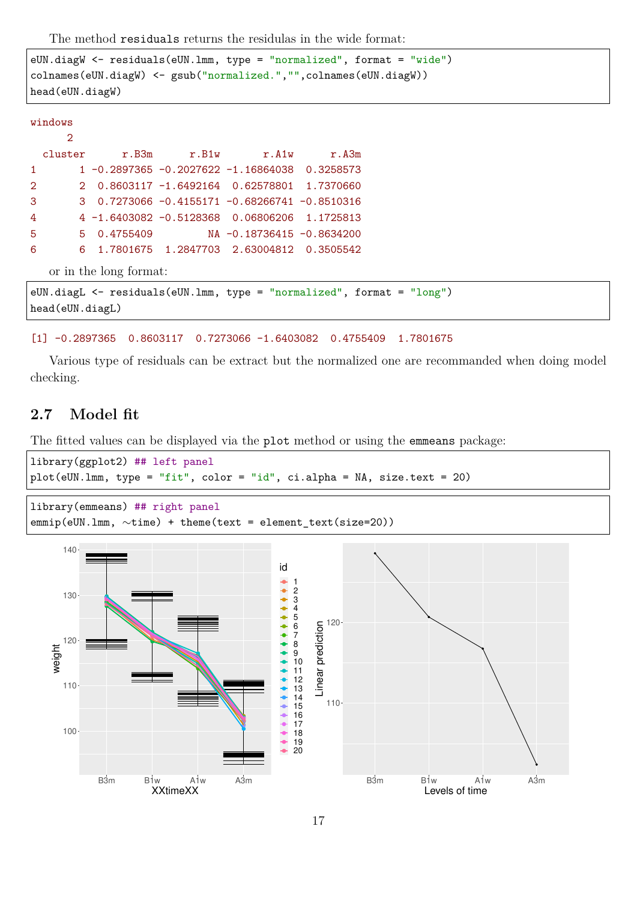The method residuals returns the residulas in the wide format:

```
eUN.diagW <- residuals(eUN.lmm, type = "normalized", format = "wide")
colnames(eUN.diagW) <- gsub("normalized.","",colnames(eUN.diagW))
head(eUN.diagW)
```

| u. |  | c | Ţ. | w<br>×<br>× |  |
|----|--|---|----|-------------|--|
|    |  |   |    |             |  |

|                | $\mathcal{D}$   |                        |                                                  |                                                                            |
|----------------|-----------------|------------------------|--------------------------------------------------|----------------------------------------------------------------------------|
|                |                 |                        | cluster r.B3m r.B1w r.A1w r.A3m                  |                                                                            |
| 1              |                 |                        | 1 -0.2897365 -0.2027622 -1.16864038 0.3258573    |                                                                            |
| $\overline{2}$ |                 |                        | 2  0.8603117   -1.6492164  0.62578801  1.7370660 |                                                                            |
| 3              |                 |                        | $3$ 0.7273066 -0.4155171 -0.68266741 -0.8510316  |                                                                            |
| $\overline{4}$ |                 |                        |                                                  |                                                                            |
| 5 <sub>1</sub> |                 |                        |                                                  |                                                                            |
| 6              |                 |                        | 6 1.7801675 1.2847703 2.63004812 0.3505542       |                                                                            |
|                |                 | or in the long format: |                                                  |                                                                            |
|                |                 |                        |                                                  | eUN.diagL $\leq$ residuals (eUN.lmm, type = "normalized", format = "long") |
|                | head(eUN.diagL) |                        |                                                  |                                                                            |

#### [1] -0.2897365 0.8603117 0.7273066 -1.6403082 0.4755409 1.7801675

Various type of residuals can be extract but the normalized one are recommanded when doing model checking.

### **2.7 Model fit**

The fitted values can be displayed via the plot method or using the emmeans package:

```
library(ggplot2) ## left panel
plot(eUN.lmm, type = "fit", color = "id", c.i.alpha = NA, size.text = 20)
```

```
library(emmeans) ## right panel
emmip(eUN.lmm, \simtime) + theme(text = element_text(size=20))
```
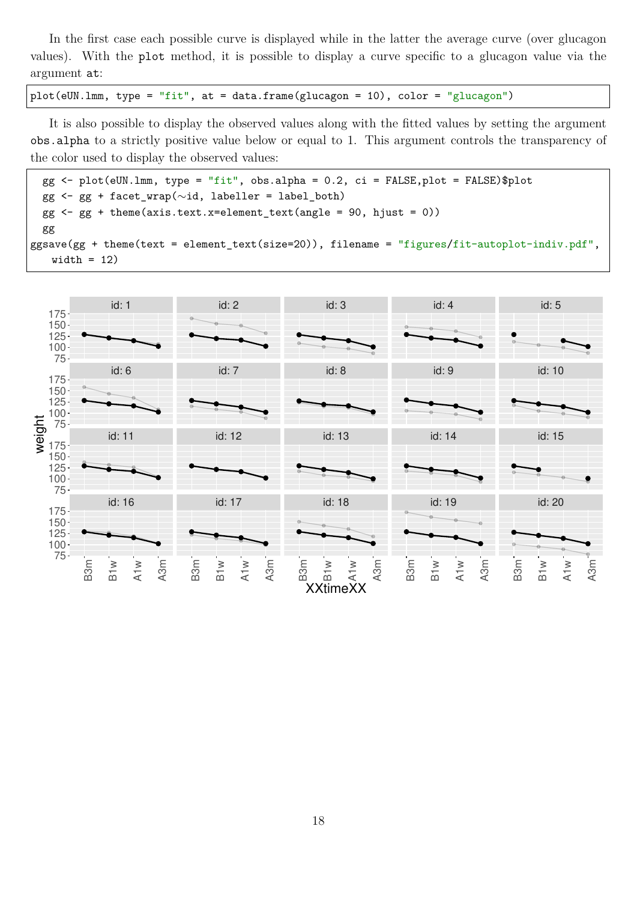In the first case each possible curve is displayed while in the latter the average curve (over glucagon values). With the plot method, it is possible to display a curve specific to a glucagon value via the argument at:

plot(eUN.lmm, type = "fit", at = data.frame(glucagon = 10), color = "glucagon")

It is also possible to display the observed values along with the fitted values by setting the argument obs.alpha to a strictly positive value below or equal to 1. This argument controls the transparency of the color used to display the observed values:

```
gg \le plot(eUN.1mm, type = "fit", obs.alpha = 0.2, ci = FALSE, plot = FALSE)$plot
 gg <- gg + facet_wrap(∼id, labeller = label_both)
 gg <- gg + theme(axis.text.x=element_text(angle = 90, hjust = 0))
 gg
ggsave(gg + theme(text = element_text(size=20)), filename = "figures/fit-autoplot-indiv.pdf",
   width = 12)
```
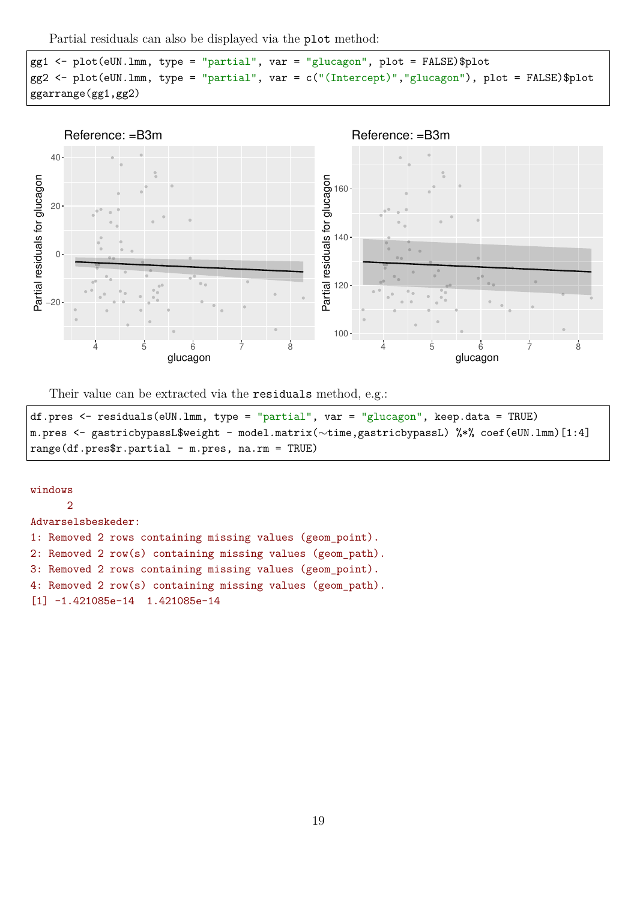Partial residuals can also be displayed via the plot method:

```
gg1 <- plot(eUN.lmm, type = "partial", var = "glucagon", plot = FALSE)$plot
gg2 <- plot(eUN.lmm, type = "partial", var = c("(Intercept)","glucagon"), plot = FALSE)$plot
ggarrange(gg1,gg2)
```


Their value can be extracted via the residuals method, e.g.:

```
df.pres <- residuals(eUN.lmm, type = "partial", var = "glucagon", keep.data = TRUE)
m.pres <- gastricbypassL$weight - model.matrix(∼time,gastricbypassL) %*% coef(eUN.lmm)[1:4]
range(df.pres$r.partial - m.pres, na.rm = TRUE)
```
### windows 2 Advarselsbeskeder: 1: Removed 2 rows containing missing values (geom\_point). 2: Removed 2 row(s) containing missing values (geom\_path). 3: Removed 2 rows containing missing values (geom\_point). 4: Removed 2 row(s) containing missing values (geom\_path). [1] -1.421085e-14 1.421085e-14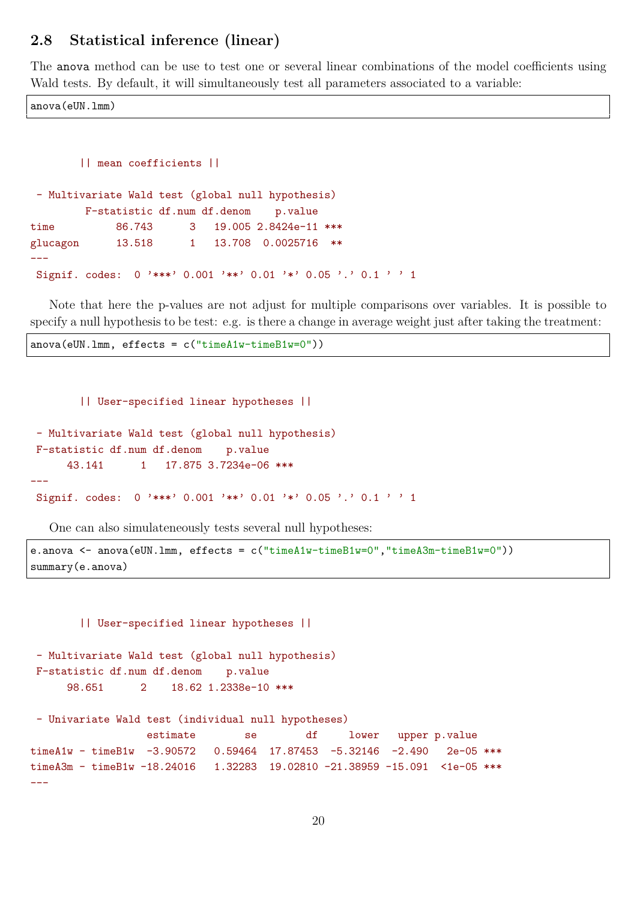### **2.8 Statistical inference (linear)**

The anova method can be use to test one or several linear combinations of the model coefficients using Wald tests. By default, it will simultaneously test all parameters associated to a variable:

anova(eUN.lmm)

```
|| mean coefficients ||
- Multivariate Wald test (global null hypothesis)
       F-statistic df.num df.denom p.value
time 86.743 3 19.005 2.8424e-11 ***
glucagon 13.518 1 13.708 0.0025716 **
---
Signif. codes: 0 '***' 0.001 '**' 0.01 '*' 0.05 '.' 0.1 ' ' 1
```
Note that here the p-values are not adjust for multiple comparisons over variables. It is possible to specify a null hypothesis to be test: e.g. is there a change in average weight just after taking the treatment:

anova(eUN.lmm, effects = c("timeA1w-timeB1w=0"))

#### || User-specified linear hypotheses ||

```
- Multivariate Wald test (global null hypothesis)
F-statistic df.num df.denom p.value
     43.141 1 17.875 3.7234e-06 ***
---
Signif. codes: 0 '***' 0.001 '**' 0.01 '*' 0.05 '.' 0.1 ' ' 1
```
One can also simulateneously tests several null hypotheses:

```
e.anova <- anova(eUN.lmm, effects = c("timeA1w-timeB1w=0","timeA3m-timeB1w=0"))
summary(e.anova)
```

```
|| User-specified linear hypotheses ||
- Multivariate Wald test (global null hypothesis)
F-statistic df.num df.denom p.value
     98.651 2 18.62 1.2338e-10 ***
- Univariate Wald test (individual null hypotheses)
                 estimate se df lower upper p.value
timeA1w - timeB1w -3.90572  0.59464  17.87453 -5.32146 -2.490  2e-05 ***
timeA3m - timeB1w -18.24016  1.32283  19.02810 -21.38959 -15.091 <1e-05 ***
---
```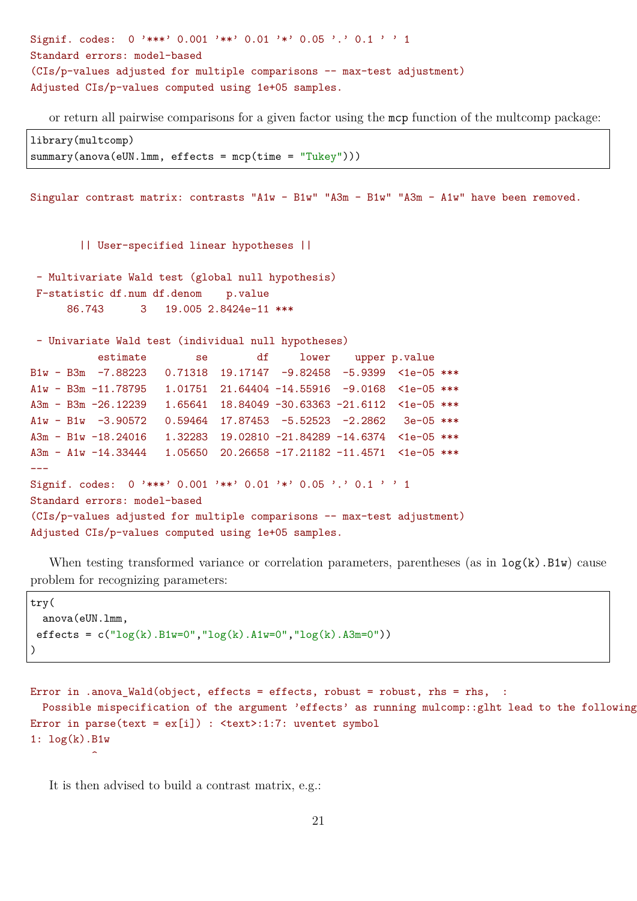```
Signif. codes: 0 '***' 0.001 '**' 0.01 '*' 0.05 '.' 0.1 ' ' 1
Standard errors: model-based
(CIs/p-values adjusted for multiple comparisons -- max-test adjustment)
Adjusted CIs/p-values computed using 1e+05 samples.
```
or return all pairwise comparisons for a given factor using the mcp function of the multcomp package:

library(multcomp) summary(anova(eUN.lmm, effects = mcp(time = "Tukey")))

Singular contrast matrix: contrasts "A1w - B1w" "A3m - B1w" "A3m - A1w" have been removed.

|| User-specified linear hypotheses ||

- Multivariate Wald test (global null hypothesis) F-statistic df.num df.denom p.value 86.743 3 19.005 2.8424e-11 \*\*\*

```
- Univariate Wald test (individual null hypotheses)
          estimate se df lower upper p.value
B1w - B3m -7.88223 0.71318 19.17147 -9.82458 -5.9399 <1e-05 ***
A1w - B3m -11.78795 1.01751 21.64404 -14.55916 -9.0168 <1e-05 ***
A3m - B3m -26.12239 1.65641 18.84049 -30.63363 -21.6112 <1e-05 ***
A1w - B1w -3.90572 0.59464 17.87453 -5.52523 -2.2862 3e-05 ***
A3m - B1w -18.24016 1.32283 19.02810 -21.84289 -14.6374 <1e-05 ***
A3m - A1w -14.33444 1.05650 20.26658 -17.21182 -11.4571 <1e-05 ***
---
Signif. codes: 0 '***' 0.001 '**' 0.01 '*' 0.05 '.' 0.1 ' ' 1
Standard errors: model-based
(CIs/p-values adjusted for multiple comparisons -- max-test adjustment)
```
Adjusted CIs/p-values computed using 1e+05 samples.

When testing transformed variance or correlation parameters, parentheses (as in  $log(k)$ .B1w) cause problem for recognizing parameters:

```
try(
  anova(eUN.lmm,
 effects = c("log(k).B1w=0", "log(k).A1w=0", "log(k).A3m=0")))
```

```
Error in .anova_Wald(object, effects = effects, robust = robust, rhs = rhs, :
  Possible mispecification of the argument 'effects' as running mulcomp::glht lead to the following
Error in parse(text = ex[i]) : <text>:1:7: uventet symbol
1: log(k).B1w
          \hat{ }
```
It is then advised to build a contrast matrix, e.g.: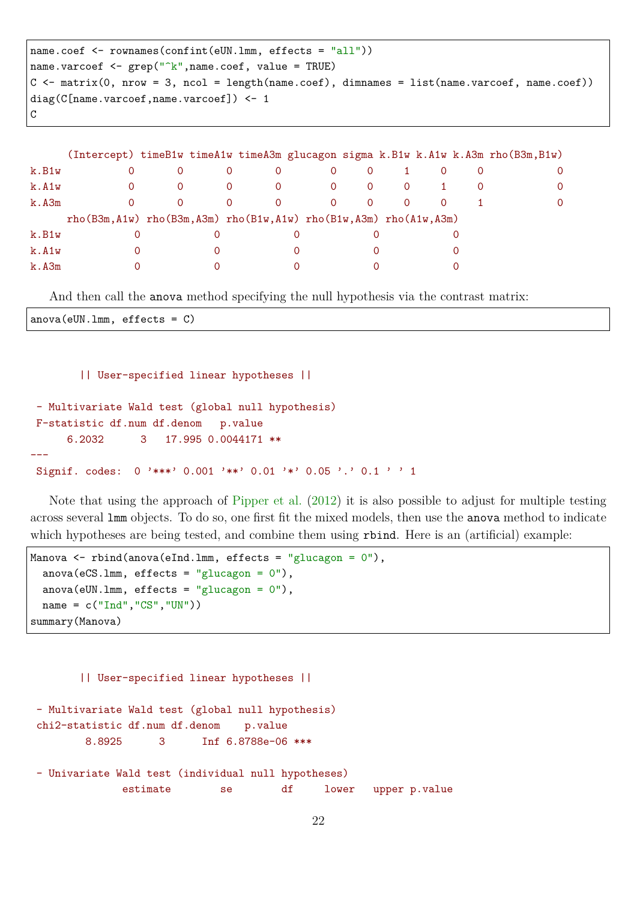```
name.coef <- rownames(confint(eUN.lmm, effects = "all"))
name.varcoef \leq grep("^k",name.coef, value = TRUE)
C \leftarrow matrix(0, nrow = 3, ncol = length(name.coef), dimnames = list(name.varcoef, name.coef))
diag(C[name.varcoef,name.varcoef]) <- 1
C
```

|       |                                                                                     |          |   |                |          |          |          |  | (Intercept) timeB1w timeA1w timeA3m glucagon sigma k.B1w k.A1w k.A3m rho(B3m,B1w) |
|-------|-------------------------------------------------------------------------------------|----------|---|----------------|----------|----------|----------|--|-----------------------------------------------------------------------------------|
| k.B1w |                                                                                     |          | 0 | $\Omega$       | $\Omega$ | $\Omega$ |          |  | $\Omega$                                                                          |
| k.A1w |                                                                                     | $\Omega$ | 0 | $\overline{0}$ | $\Omega$ | 0        | $\Omega$ |  | $\Omega$                                                                          |
| k.A3m |                                                                                     |          | 0 | $\Omega$       | $\Omega$ | $\Omega$ | $\Omega$ |  | $\Omega$                                                                          |
|       | $rho(B3m, A1w)$ rho $(B3m, A3m)$ rho $(B1w, A1w)$ rho $(B1w, A3m)$ rho $(A1w, A3m)$ |          |   |                |          |          |          |  |                                                                                   |
| k.B1w |                                                                                     |          |   |                |          |          |          |  |                                                                                   |
| k.A1w |                                                                                     |          |   |                |          |          |          |  |                                                                                   |
| k.A3m |                                                                                     |          |   |                |          |          |          |  |                                                                                   |

And then call the anova method specifying the null hypothesis via the contrast matrix:

anova(eUN.lmm, effects = C)

|| User-specified linear hypotheses ||

```
- Multivariate Wald test (global null hypothesis)
F-statistic df.num df.denom p.value
     6.2032 3 17.995 0.0044171 **
---
Signif. codes: 0 '***' 0.001 '**' 0.01 '*' 0.05 '.' 0.1 ' ' 1
```
Note that using the approach of [Pipper et al.](#page-42-1) [\(2012\)](#page-42-1) it is also possible to adjust for multiple testing across several lmm objects. To do so, one first fit the mixed models, then use the anova method to indicate which hypotheses are being tested, and combine them using rbind. Here is an (artificial) example:

```
Manova <- rbind(anova(eInd.lmm, effects = "glucagon = 0"),
  anova(eCS.lmm, effects = "glucagon = 0"),
  anova(eUN.lmm, effects = "glucagon = 0"),
 name = c("Ind", "CS", "UN"))
summary(Manova)
```

```
|| User-specified linear hypotheses ||
- Multivariate Wald test (global null hypothesis)
chi2-statistic df.num df.denom p.value
       8.8925 3 Inf 6.8788e-06 ***
- Univariate Wald test (individual null hypotheses)
            estimate se df lower upper p.value
```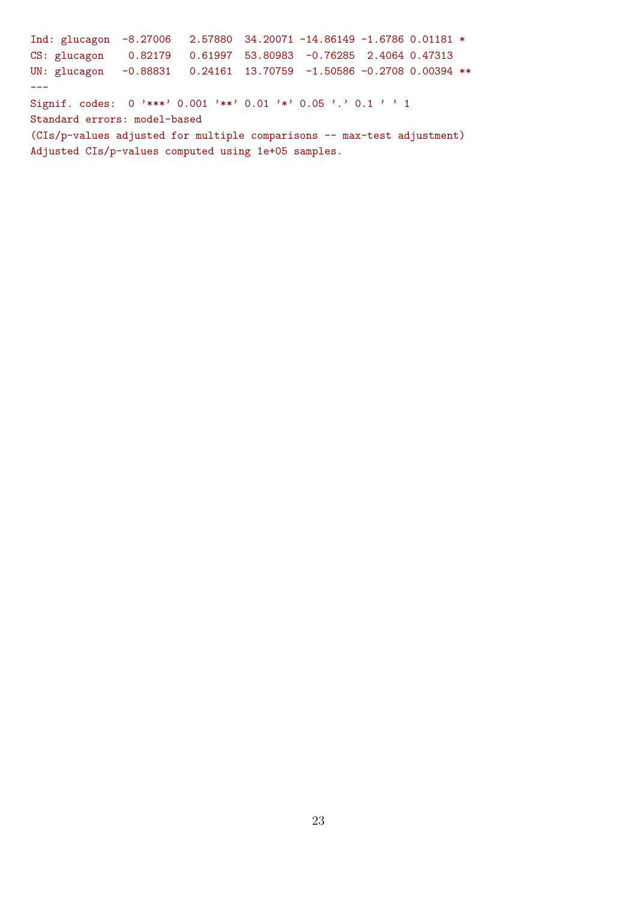Ind: glucagon -8.27006 2.57880 34.20071 -14.86149 -1.6786 0.01181 \* CS: glucagon 0.82179 0.61997 53.80983 -0.76285 2.4064 0.47313 UN: glucagon -0.88831 0.24161 13.70759 -1.50586 -0.2708 0.00394 \*\* --- Signif. codes: 0 '\*\*\*' 0.001 '\*\*' 0.01 '\*' 0.05 '.' 0.1 ' ' 1 Standard errors: model-based (CIs/p-values adjusted for multiple comparisons -- max-test adjustment) Adjusted CIs/p-values computed using 1e+05 samples.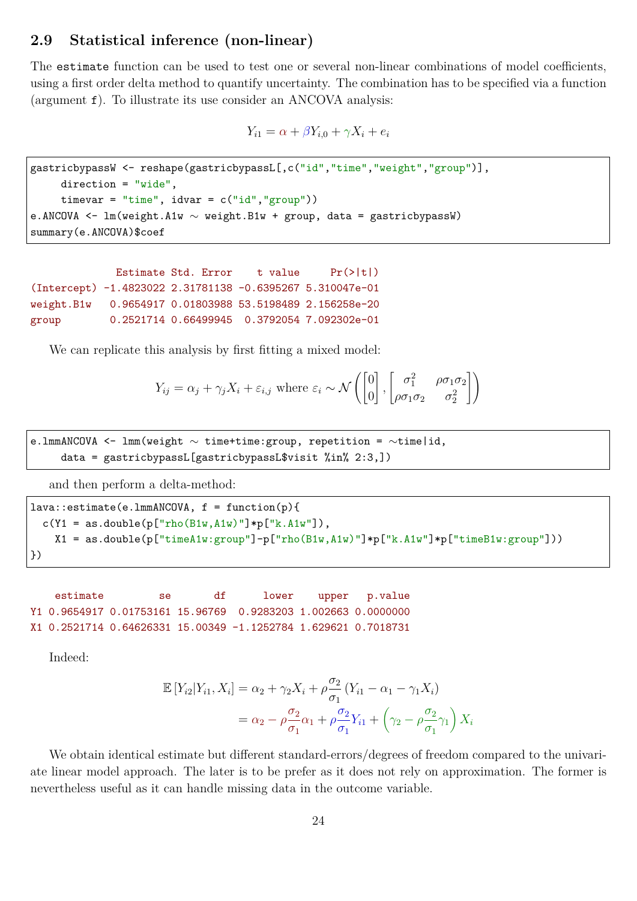### **2.9 Statistical inference (non-linear)**

The estimate function can be used to test one or several non-linear combinations of model coefficients, using a first order delta method to quantify uncertainty. The combination has to be specified via a function (argument f). To illustrate its use consider an ANCOVA analysis:

$$
Y_{i1} = \alpha + \beta Y_{i,0} + \gamma X_i + e_i
$$

```
gastricbypassW <- reshape(gastricbypassL[,c("id","time","weight","group")],
     direction = "wide",
     \tt{timevar} = "time", idvar = c("id", "group"))e.ANCOVA <- lm(weight.A1w ∼ weight.B1w + group, data = gastricbypassW)
summary(e.ANCOVA)$coef
```

```
Estimate Std. Error t value Pr(>|t|)(Intercept) -1.4823022 2.31781138 -0.6395267 5.310047e-01
weight.B1w 0.9654917 0.01803988 53.5198489 2.156258e-20
group 0.2521714 0.66499945 0.3792054 7.092302e-01
```
We can replicate this analysis by first fitting a mixed model:

$$
Y_{ij} = \alpha_j + \gamma_j X_i + \varepsilon_{i,j} \text{ where } \varepsilon_i \sim \mathcal{N}\left(\begin{bmatrix} 0\\0 \end{bmatrix}, \begin{bmatrix} \sigma_1^2 & \rho \sigma_1 \sigma_2\\ \rho \sigma_1 \sigma_2 & \sigma_2^2 \end{bmatrix}\right)
$$

e.lmmANCOVA <- lmm(weight ∼ time+time:group, repetition = ∼time|id, data = gastricbypassL[gastricbypassL\$visit %in% 2:3,])

and then perform a delta-method:

```
lava::estimate(e.lmmANCOVA, f = function(p){
  c(Y1 = as.double(p["rho(B1w,A1w)"] * p["k.A1w"]),X1 = as.double(p["timeA1w:group"]-p["rho(B1w,A1w)"]*p["k.A1w"]*p["timeB1w:group"]))
})
```

```
estimate se df lower upper p.value
Y1 0.9654917 0.01753161 15.96769 0.9283203 1.002663 0.0000000
X1 0.2521714 0.64626331 15.00349 -1.1252784 1.629621 0.7018731
```
Indeed:

$$
\mathbb{E}\left[Y_{i2}|Y_{i1}, X_i\right] = \alpha_2 + \gamma_2 X_i + \rho \frac{\sigma_2}{\sigma_1} (Y_{i1} - \alpha_1 - \gamma_1 X_i)
$$

$$
= \alpha_2 - \rho \frac{\sigma_2}{\sigma_1} \alpha_1 + \rho \frac{\sigma_2}{\sigma_1} Y_{i1} + \left(\gamma_2 - \rho \frac{\sigma_2}{\sigma_1} \gamma_1\right) X_i
$$

We obtain identical estimate but different standard-errors/degrees of freedom compared to the univariate linear model approach. The later is to be prefer as it does not rely on approximation. The former is nevertheless useful as it can handle missing data in the outcome variable.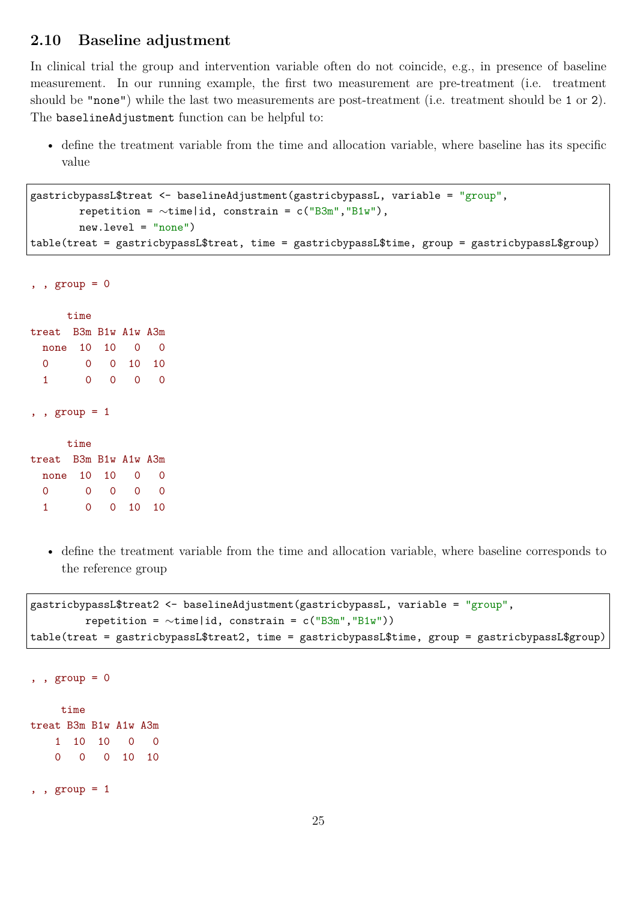### **2.10 Baseline adjustment**

In clinical trial the group and intervention variable often do not coincide, e.g., in presence of baseline measurement. In our running example, the first two measurement are pre-treatment (i.e. treatment should be "none") while the last two measurements are post-treatment (i.e. treatment should be 1 or 2). The baselineAdjustment function can be helpful to:

• define the treatment variable from the time and allocation variable, where baseline has its specific value

```
gastricbypassL$treat <- baselineAdjustment(gastricbypassL, variable = "group",
        repetition = \simtime|id, constrain = c("B3m","B1w"),
        new.level = "none")
table(treat = gastricbypassL$treat, time = gastricbypassL$time, group = gastricbypassL$group)
```

```
, , group = 0
```

|                       | time                  |    |         |    |  |  |  |  |  |  |  |
|-----------------------|-----------------------|----|---------|----|--|--|--|--|--|--|--|
| treat B3m B1w A1w A3m |                       |    |         |    |  |  |  |  |  |  |  |
| none                  | 10                    | 10 | 0       | 0  |  |  |  |  |  |  |  |
| 0                     | 0.                    |    | 0 10 10 |    |  |  |  |  |  |  |  |
| 1                     | 0                     | 0  | 0       | 0  |  |  |  |  |  |  |  |
| , , group = $1$       | time                  |    |         |    |  |  |  |  |  |  |  |
|                       | treat B3m B1w A1w A3m |    |         |    |  |  |  |  |  |  |  |
| none 10               |                       | 10 | 0       | 0  |  |  |  |  |  |  |  |
| Ω                     | 0                     | 0  | 0       | 0  |  |  |  |  |  |  |  |
| 1                     | 0                     | 0  | 10      | 10 |  |  |  |  |  |  |  |

• define the treatment variable from the time and allocation variable, where baseline corresponds to the reference group

```
gastricbypassL$treat2 <- baselineAdjustment(gastricbypassL, variable = "group",
         repetition = \simtime|id, constrain = c("B3m","B1w"))
table(treat = gastricbypassL$treat2, time = gastricbypassL$time, group = gastricbypassL$group)
```

```
, , group = 0time
treat B3m B1w A1w A3m
   1 10 10 0 0
   0 0 0 10 10
, , group = 1
```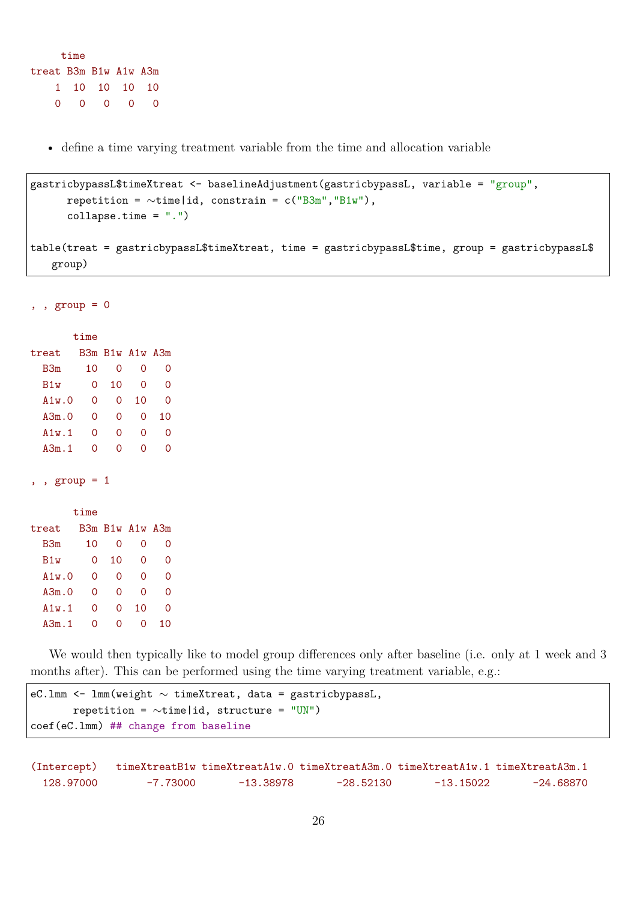```
time
treat B3m B1w A1w A3m
   1 10 10 10 10
   0 0 0 0 0
```
• define a time varying treatment variable from the time and allocation variable

```
gastricbypassL$timeXtreat <- baselineAdjustment(gastricbypassL, variable = "group",
      repetition = \simtime|id, constrain = c("B3m","B1w"),
      collapse.time = ".")
table(treat = gastricbypassL$timeXtreat, time = gastricbypassL$time, group = gastricbypassL$
   group)
```
, ,  $group = 0$ 

|        | time |                 |    |    |
|--------|------|-----------------|----|----|
| treat  |      | B3m B1w A1w A3m |    |    |
| B3m    | 10   | Ω               | ∩  | O  |
| B1w    | Ω    | 10              | ∩  | Ω  |
| A1w.0  | 0    | 0               | 10 | Ω  |
| A3m.0  | 0    | 0               | ∩  | 10 |
| A1w.1  | 0    | 0               | ∩  | Ω  |
| A.3m.1 | 0    | ∩               | Ω  | Ω  |
|        |      |                 |    |    |

, , group = 1

|        | time     |    |                 |                     |
|--------|----------|----|-----------------|---------------------|
| treat  |          |    | B3m B1w A1w A3m |                     |
| B3m    | 10       | 0  | Ω               | 0                   |
| B1w    | Ω        | 10 | 0               | 0                   |
| A1w.0  | 0        | Ω  | 0               | 0                   |
| A3m.0  | Ω        | 0  | 0               | 0                   |
| A1w.1  | 0        | 0  | 10              | 0                   |
| A.3m.1 | $\Omega$ | 0  |                 | $\scriptstyle\rm ($ |

We would then typically like to model group differences only after baseline (i.e. only at 1 week and 3 months after). This can be performed using the time varying treatment variable, e.g.:

```
eC.lmm <- lmm(weight ∼ timeXtreat, data = gastricbypassL,
       repetition = \simtime|id, structure = "UN")
coef(eC.lmm) ## change from baseline
```
(Intercept) timeXtreatB1w timeXtreatA1w.0 timeXtreatA3m.0 timeXtreatA1w.1 timeXtreatA3m.1 128.97000 -7.73000 -13.38978 -28.52130 -13.15022 -24.68870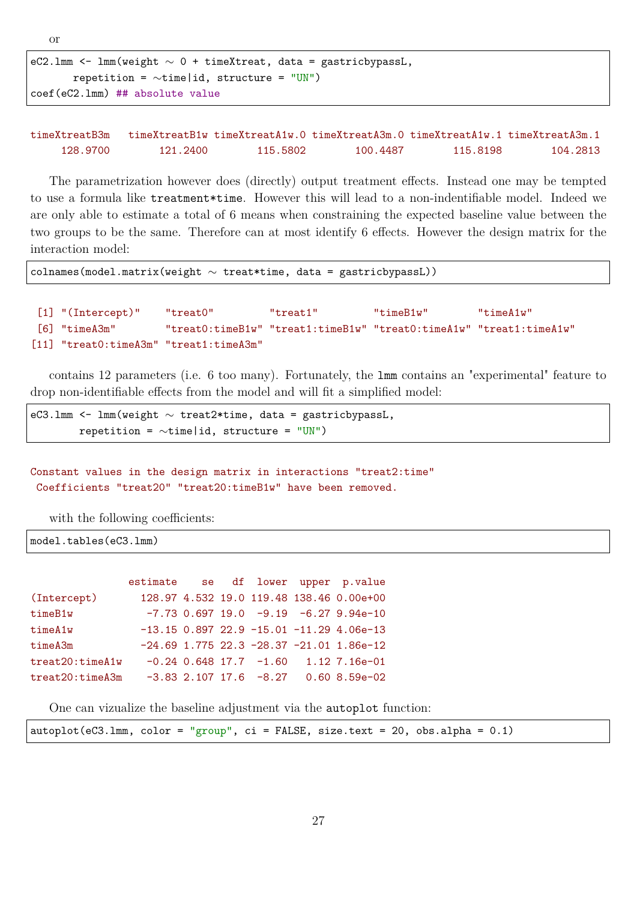```
eC2.1mm <- 1mm(weight \sim 0 + timeXtreat, data = gastricbypassL,
       repetition = ∼time|id, structure = "UN")
coef(eC2.lmm) ## absolute value
```
timeXtreatB3m timeXtreatB1w timeXtreatA1w.0 timeXtreatA3m.0 timeXtreatA1w.1 timeXtreatA3m.1 128.9700 121.2400 115.5802 100.4487 115.8198 104.2813

The parametrization however does (directly) output treatment effects. Instead one may be tempted to use a formula like treatment\*time. However this will lead to a non-indentifiable model. Indeed we are only able to estimate a total of 6 means when constraining the expected baseline value between the two groups to be the same. Therefore can at most identify 6 effects. However the design matrix for the interaction model:

colnames(model.matrix(weight ∼ treat\*time, data = gastricbypassL))

```
[1] "(Intercept)" "treat0" "treat1" "timeB1w" "timeA1w"
[6] "timeA3m" "treat0:timeB1w" "treat1:timeB1w" "treat0:timeA1w" "treat1:timeA1w"
[11] "treat0:timeA3m" "treat1:timeA3m"
```
contains 12 parameters (i.e. 6 too many). Fortunately, the lmm contains an "experimental" feature to drop non-identifiable effects from the model and will fit a simplified model:

eC3.lmm <- lmm(weight ∼ treat2\*time, data = gastricbypassL, repetition = ∼time|id, structure = "UN")

Constant values in the design matrix in interactions "treat2:time" Coefficients "treat20" "treat20:timeB1w" have been removed.

with the following coefficients:

model.tables(eC3.lmm)

|                 |  |  | estimate se df lower upper p.value             |
|-----------------|--|--|------------------------------------------------|
| (Intercept)     |  |  | 128.97 4.532 19.0 119.48 138.46 0.00e+00       |
| timeB1w         |  |  | $-7.73$ 0.697 19.0 $-9.19$ $-6.27$ 9.94e-10    |
| timeA1w         |  |  | $-13.15$ 0.897 22.9 $-15.01$ $-11.29$ 4.06e-13 |
| timeA3m         |  |  | $-24.69$ 1.775 22.3 $-28.37$ $-21.01$ 1.86e-12 |
| treat20:timeA1w |  |  | $-0.24$ 0.648 17.7 $-1.60$ 1.12 7.16e-01       |
| treat20:timeA3m |  |  | $-3.83$ 2.107 17.6 $-8.27$ 0.60 8.59e-02       |

One can vizualize the baseline adjustment via the autoplot function:

|  |  |  |  | $autoplot(eC3.1mm, color = "group", ci = FALSE, size.text = 20, obs.alpha = 0.1)$ |
|--|--|--|--|-----------------------------------------------------------------------------------|
|--|--|--|--|-----------------------------------------------------------------------------------|

or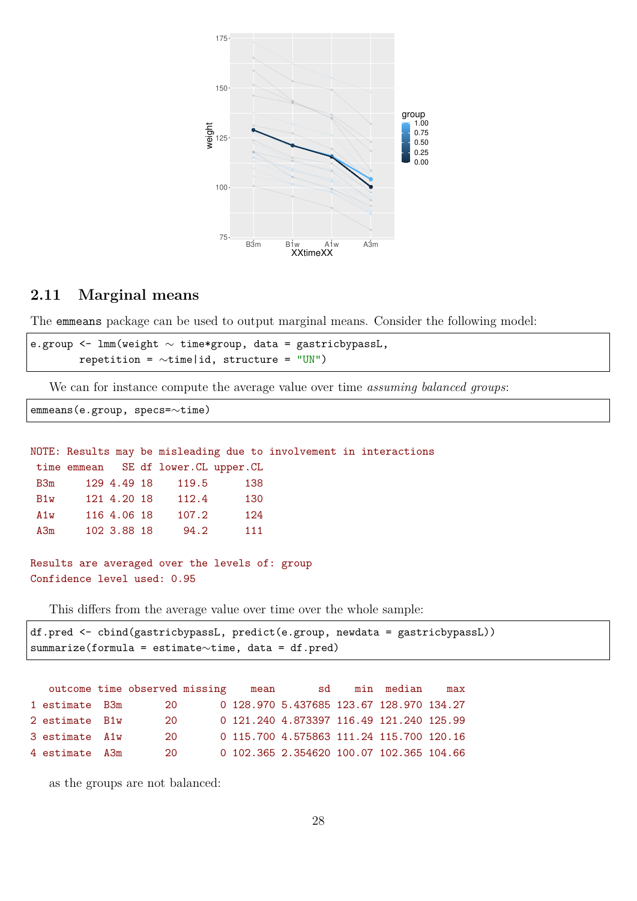

### **2.11 Marginal means**

The emmeans package can be used to output marginal means. Consider the following model:

e.group <- lmm(weight ∼ time\*group, data = gastricbypassL, repetition = ∼time|id, structure = "UN")

We can for instance compute the average value over time *assuming balanced groups*:

emmeans(e.group, specs=∼time)

```
NOTE: Results may be misleading due to involvement in interactions
time emmean SE df lower.CL upper.CL
B3m 129 4.49 18 119.5 138
B1w 121 4.20 18 112.4 130
A1w 116 4.06 18 107.2 124
A3m 102 3.88 18 94.2 111
```
Results are averaged over the levels of: group Confidence level used: 0.95

This differs from the average value over time over the whole sample:

```
df.pred <- cbind(gastricbypassL, predict(e.group, newdata = gastricbypassL))
summarize(formula = estimate∼time, data = df.pred)
```

|                | outcome time observed missing | mean | sd                                       | min median | max |
|----------------|-------------------------------|------|------------------------------------------|------------|-----|
| 1 estimate B3m | 20                            |      | 0 128.970 5.437685 123.67 128.970 134.27 |            |     |
| 2 estimate B1w | 20                            |      | 0 121.240 4.873397 116.49 121.240 125.99 |            |     |
| 3 estimate A1w | 20                            |      | 0 115.700 4.575863 111.24 115.700 120.16 |            |     |
| 4 estimate A3m | 20.                           |      | 0 102.365 2.354620 100.07 102.365 104.66 |            |     |

as the groups are not balanced: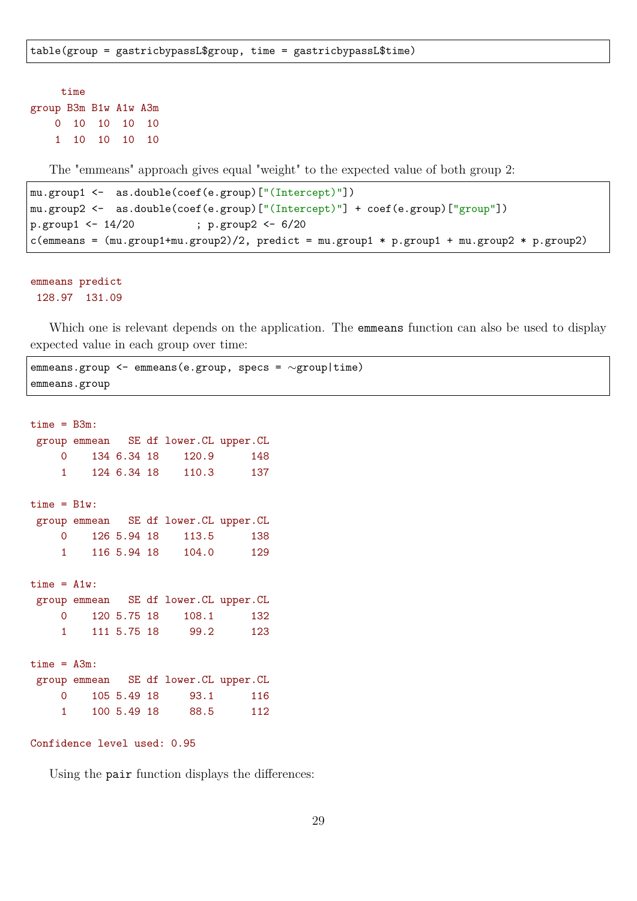```
time
group B3m B1w A1w A3m
   0 10 10 10 10
   1 10 10 10 10
```
The "emmeans" approach gives equal "weight" to the expected value of both group 2:

```
mu.group1 <- as.double(coef(e.group)["(Intercept)"])
mu.group2 <- as.double(coef(e.group)["(Intercept)"] + coef(e.group)["group"])
p.group1 <- 14/20 ; p.group2 <- 6/20
c(emmeans = (mu.group1+mu.group2)/2, predict = mu.group1 * p.group1 + mu.group2 * p.group2)
```
emmeans predict 128.97 131.09

Which one is relevant depends on the application. The **emmeans** function can also be used to display expected value in each group over time:

emmeans.group <- emmeans(e.group, specs = ∼group|time) emmeans.group

```
time = B3m:
group emmean SE df lower.CL upper.CL
   0 134 6.34 18 120.9 148
    1 124 6.34 18 110.3 137
time = B1w:
group emmean SE df lower.CL upper.CL
    0 126 5.94 18 113.5 138
    1 116 5.94 18 104.0 129
time = A1w:
group emmean SE df lower.CL upper.CL
    0 120 5.75 18 108.1 132
    1 111 5.75 18 99.2 123
time = A3m:
group emmean SE df lower.CL upper.CL
   0 105 5.49 18 93.1 116
    1 100 5.49 18 88.5 112
```

```
Confidence level used: 0.95
```
Using the pair function displays the differences: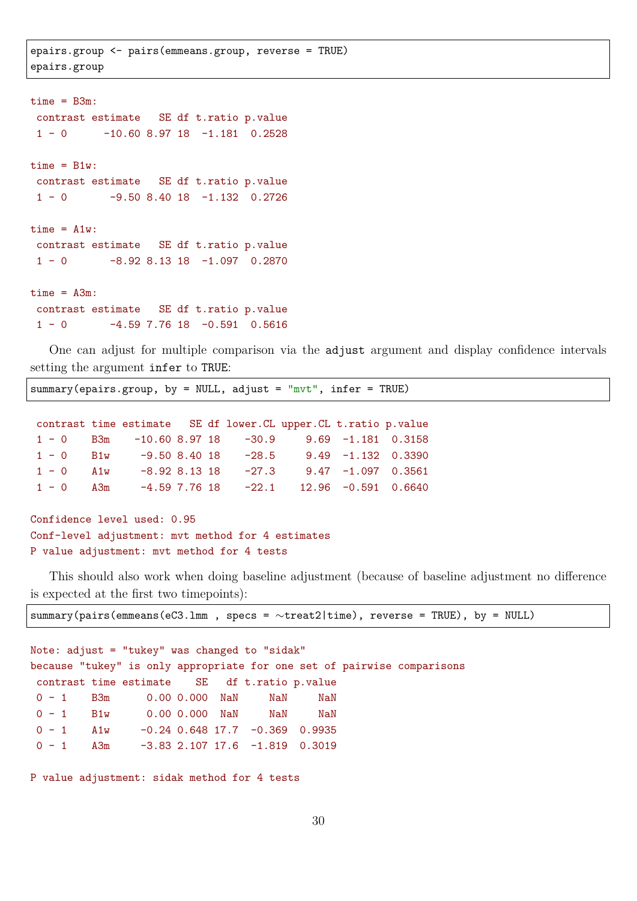epairs.group <- pairs(emmeans.group, reverse = TRUE) epairs.group

```
time = B3m:
contrast estimate SE df t.ratio p.value
1 - 0 -10.60 8.97 18 -1.181 0.2528
time = B1w:
contrast estimate SE df t.ratio p.value
1 - 0 -9.50 8.40 18 -1.132 0.2726
time = A1w:
contrast estimate SE df t.ratio p.value
1 - 0 -8.92 8.13 18 -1.097 0.2870
time = A3m:
contrast estimate SE df t.ratio p.value
1 - 0 -4.59 7.76 18 -0.591 0.5616
```
One can adjust for multiple comparison via the adjust argument and display confidence intervals setting the argument infer to TRUE:

summary(epairs.group, by = NULL, adjust = " $mvt$ ", infer = TRUE)

|                      |                 |  | contrast time estimate SE df lower. CL upper. CL t. ratio p. value |                      |  |
|----------------------|-----------------|--|--------------------------------------------------------------------|----------------------|--|
|                      |                 |  | $1 - 0$ B3m $-10.60$ 8.97 18 $-30.9$ 9.69 $-1.181$ 0.3158          |                      |  |
| $1 - 0$ $B1w$        | $-9.50$ 8.40 18 |  | $-28.5$                                                            | $9.49 -1.132 0.3390$ |  |
| $1 - 0$ $\lambda 1w$ | $-8.92$ 8.13 18 |  | $-27.3$                                                            | $9.47 -1.097 0.3561$ |  |
| $1 - 0$ $A3m$        |                 |  | $-4.59$ 7.76 18 $-22.1$ 12.96 $-0.591$ 0.6640                      |                      |  |

```
Confidence level used: 0.95
Conf-level adjustment: mvt method for 4 estimates
P value adjustment: mvt method for 4 tests
```
This should also work when doing baseline adjustment (because of baseline adjustment no difference is expected at the first two timepoints):

summary(pairs(emmeans(eC3.lmm , specs = ∼treat2|time), reverse = TRUE), by = NULL)

Note: adjust = "tukey" was changed to "sidak" because "tukey" is only appropriate for one set of pairwise comparisons contrast time estimate SE df t.ratio p.value 0 - 1 B3m 0.00 0.000 NaN NaN NaN 0 - 1 B1w 0.00 0.000 NaN NaN NaN  $0 - 1$  A1w  $-0.24$  0.648 17.7  $-0.369$  0.9935  $0 - 1$  A3m  $-3.83$  2.107 17.6  $-1.819$  0.3019

P value adjustment: sidak method for 4 tests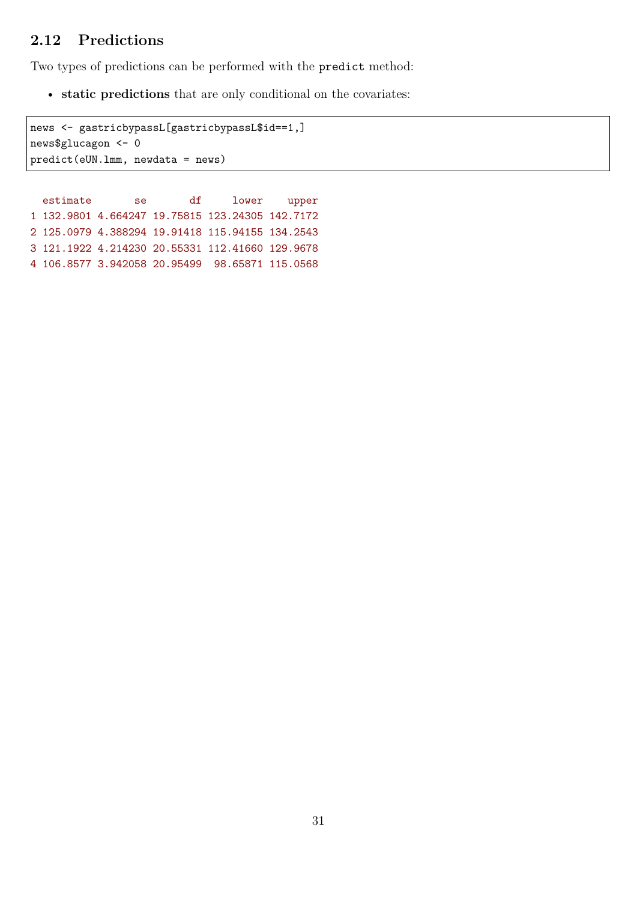### **2.12 Predictions**

Two types of predictions can be performed with the predict method:

• **static predictions** that are only conditional on the covariates:

news <- gastricbypassL[gastricbypassL\$id==1,] news\$glucagon <- 0 predict(eUN.lmm, newdata = news)

estimate se df lower upper 1 132.9801 4.664247 19.75815 123.24305 142.7172 2 125.0979 4.388294 19.91418 115.94155 134.2543 3 121.1922 4.214230 20.55331 112.41660 129.9678 4 106.8577 3.942058 20.95499 98.65871 115.0568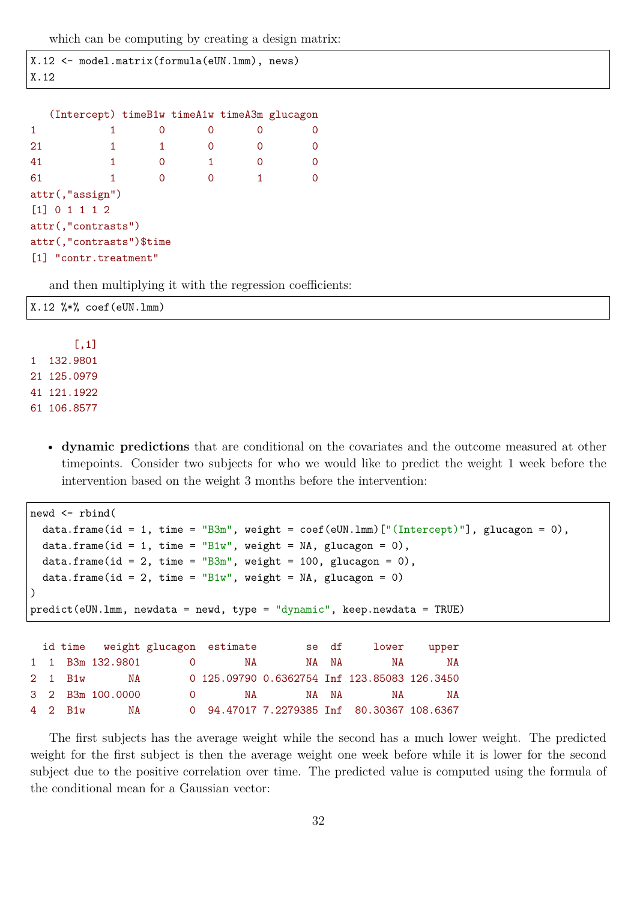which can be computing by creating a design matrix:

```
X.12 <- model.matrix(formula(eUN.lmm), news)
X.12
```

|                          | (Intercept) timeB1w timeA1w timeA3m glucagon |   |   |   |          |  |  |  |  |
|--------------------------|----------------------------------------------|---|---|---|----------|--|--|--|--|
| $\blacktriangleleft$     | 1                                            | Ω | 0 | Ω | 0        |  |  |  |  |
| 21                       | 1                                            |   |   |   | 0        |  |  |  |  |
| 41                       | 1.                                           | Ω | 1 | 0 | $\Omega$ |  |  |  |  |
| 61                       | 1                                            |   |   |   | 0        |  |  |  |  |
|                          | attr(,"assign")                              |   |   |   |          |  |  |  |  |
|                          | [1] 0 1 1 1 2                                |   |   |   |          |  |  |  |  |
|                          | attr(,"contrasts")                           |   |   |   |          |  |  |  |  |
| attr(,"contrasts")\$time |                                              |   |   |   |          |  |  |  |  |
|                          | [1] "contr.treatment"                        |   |   |   |          |  |  |  |  |

and then multiplying it with the regression coefficients:

|                    | $X.12$ %*% coef(eUN.1mm) |  |  |  |
|--------------------|--------------------------|--|--|--|
| $\left[ ,1\right]$ |                          |  |  |  |
| 1 132.9801         |                          |  |  |  |

21 125.0979 41 121.1922 61 106.8577

> • **dynamic predictions** that are conditional on the covariates and the outcome measured at other timepoints. Consider two subjects for who we would like to predict the weight 1 week before the intervention based on the weight 3 months before the intervention:

```
newd <- rbind(
 data.frame(id = 1, time = "B3m", weight = \text{coeff}(eUN.lmm)[" (Intercept)"], glucagon = 0),
 data.frame(id = 1, time = "Blw", weight = NA, glucagon = 0),
 data.frame(id = 2, time = "B3m", weight = 100, glucagon = 0),
 data.frame(id = 2, time = "B1w", weight = NA, glucagon = 0)
)
predict(eUN.lmm, newdata = newd, type = "dynamic", keep.newdata = TRUE)
 id time weight glucagon estimate se df lower upper
1 1 B3m 132.9801 0 NA NA NA NA NA
2 1 B1w NA 0 125.09790 0.6362754 Inf 123.85083 126.3450
3 2 B3m 100.0000 0 NA NA NA NA NA
4 2 B1w NA 0 94.47017 7.2279385 Inf 80.30367 108.6367
```
The first subjects has the average weight while the second has a much lower weight. The predicted weight for the first subject is then the average weight one week before while it is lower for the second subject due to the positive correlation over time. The predicted value is computed using the formula of the conditional mean for a Gaussian vector: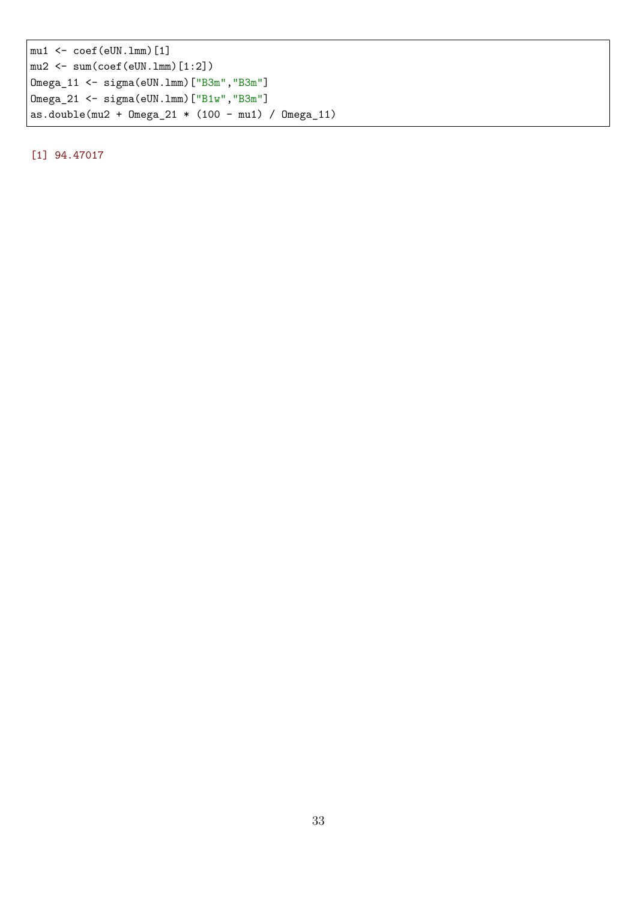mu1 <- coef(eUN.lmm)[1] mu2 <- sum(coef(eUN.lmm)[1:2]) Omega\_11 <- sigma(eUN.lmm)["B3m","B3m"] Omega\_21 <- sigma(eUN.lmm)["B1w","B3m"] as.double(mu2 + Omega\_21 \* (100 - mu1) / Omega\_11)

[1] 94.47017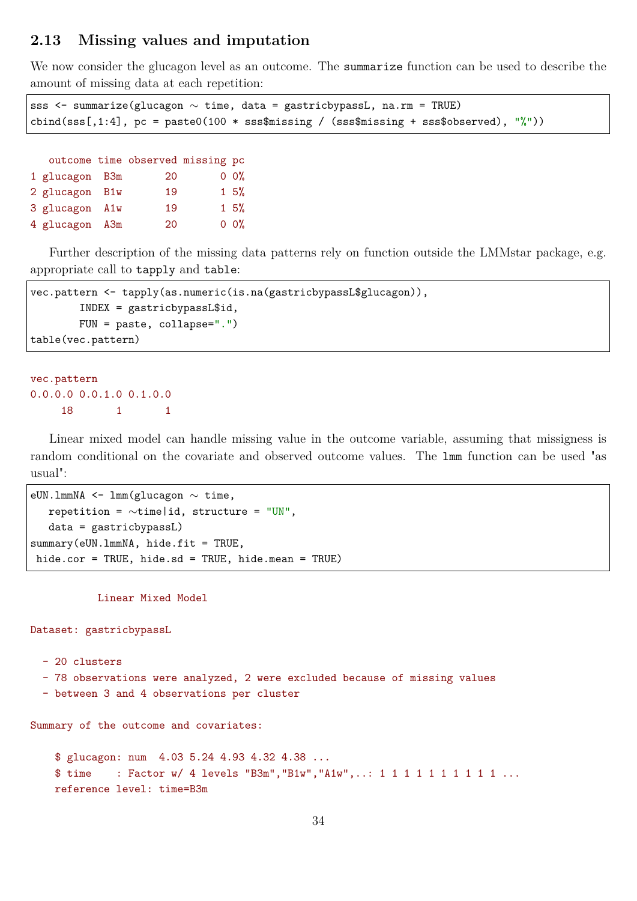### **2.13 Missing values and imputation**

We now consider the glucagon level as an outcome. The summarize function can be used to describe the amount of missing data at each repetition:

```
sss <- summarize(glucagon ∼ time, data = gastricbypassL, na.rm = TRUE)
cbind(sss[,1:4], pc = paste0(100 * sss$missing / (sss$missing + sss$observed), "\text{'''}))
```

|                | outcome time observed missing pc |                 |
|----------------|----------------------------------|-----------------|
| 1 glucagon B3m | 20                               | $0 \frac{0}{6}$ |
| 2 glucagon B1w | 19                               | 15%             |
| 3 glucagon A1w | 19                               | 15%             |
| 4 glucagon A3m | 20                               | $0 \frac{0}{6}$ |

Further description of the missing data patterns rely on function outside the LMMstar package, e.g. appropriate call to tapply and table:

```
vec.pattern <- tapply(as.numeric(is.na(gastricbypassL$glucagon)),
        INDEX = gastricbypassL$id,
        FUN = paste, collapse=".")
table(vec.pattern)
```

```
vec.pattern
0.0.0.0 0.0.1.0 0.1.0.0
    18 1 1
```
Linear mixed model can handle missing value in the outcome variable, assuming that missigness is random conditional on the covariate and observed outcome values. The lmm function can be used "as usual":

```
eUN.lmmNA <- lmm(glucagon ∼ time,
   repetition = ∼time|id, structure = "UN",
   data = gastricbypassL)
summary(eUN.lmmNA, hide.fit = TRUE,
hide.cor = TRUE, hide.sd = TRUE, hide.mean = TRUE)
```
Linear Mixed Model

Dataset: gastricbypassL

```
- 20 clusters
```
- 78 observations were analyzed, 2 were excluded because of missing values
- between 3 and 4 observations per cluster

Summary of the outcome and covariates:

```
$ glucagon: num 4.03 5.24 4.93 4.32 4.38 ...
$ time : Factor w/ 4 levels "B3m", "B1w", "A1w",..: 1 1 1 1 1 1 1 1 1 1 ...
reference level: time=B3m
```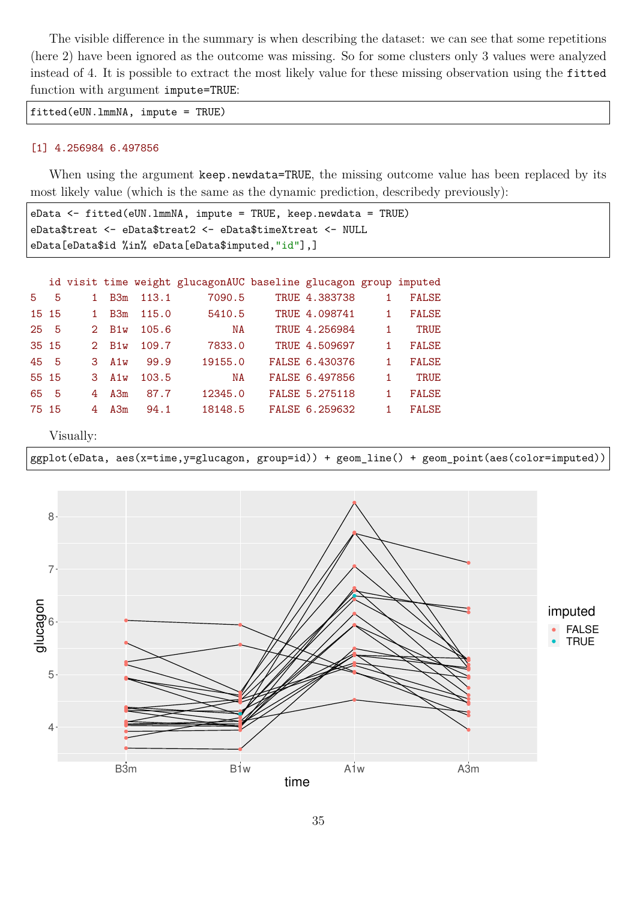The visible difference in the summary is when describing the dataset: we can see that some repetitions (here 2) have been ignored as the outcome was missing. So for some clusters only 3 values were analyzed instead of 4. It is possible to extract the most likely value for these missing observation using the fitted function with argument impute=TRUE:

fitted(eUN.lmmNA, impute = TRUE)

#### [1] 4.256984 6.497856

When using the argument keep.newdata=TRUE, the missing outcome value has been replaced by its most likely value (which is the same as the dynamic prediction, describedy previously):

```
eData <- fitted(eUN.lmmNA, impute = TRUE, keep.newdata = TRUE)
eData$treat <- eData$treat2 <- eData$timeXtreat <- NULL
eData[eData$id %in% eData[eData$imputed,"id"],]
```

|       |     |                |                 |       | id visit time weight glucagonAUC baseline glucagon group imputed |                |    |              |
|-------|-----|----------------|-----------------|-------|------------------------------------------------------------------|----------------|----|--------------|
| 5.    | 5   |                | B <sub>3m</sub> | 113.1 | 7090.5                                                           | TRUE 4.383738  |    | <b>FALSE</b> |
| 15 15 |     |                | B <sub>3m</sub> | 115.0 | 5410.5                                                           | TRUE 4.098741  | 1. | <b>FALSE</b> |
| 25    | - 5 | 2 <sup>1</sup> | B1w             | 105.6 | NA                                                               | TRUE 4.256984  |    | <b>TRUE</b>  |
| 35 15 |     | 2.             | B1w             | 109.7 | 7833.0                                                           | TRUE 4.509697  |    | <b>FALSE</b> |
| 45 5  |     |                | $3$ A1w         | 99.9  | 19155.0                                                          | FALSE 6.430376 |    | <b>FALSE</b> |
| 55 15 |     | 3.             | A1w             | 103.5 | NA                                                               | FALSE 6.497856 |    | <b>TRUE</b>  |
| 65    | - 5 | 4              | A3m             | 87.7  | 12345.0                                                          | FALSE 5.275118 | 1. | <b>FALSE</b> |
| 75 15 |     | 4              | A3m             | 94.1  | 18148.5                                                          | FALSE 6.259632 |    | <b>FALSE</b> |

Visually:

ggplot(eData, aes(x=time,y=glucagon, group=id)) + geom\_line() + geom\_point(aes(color=imputed))

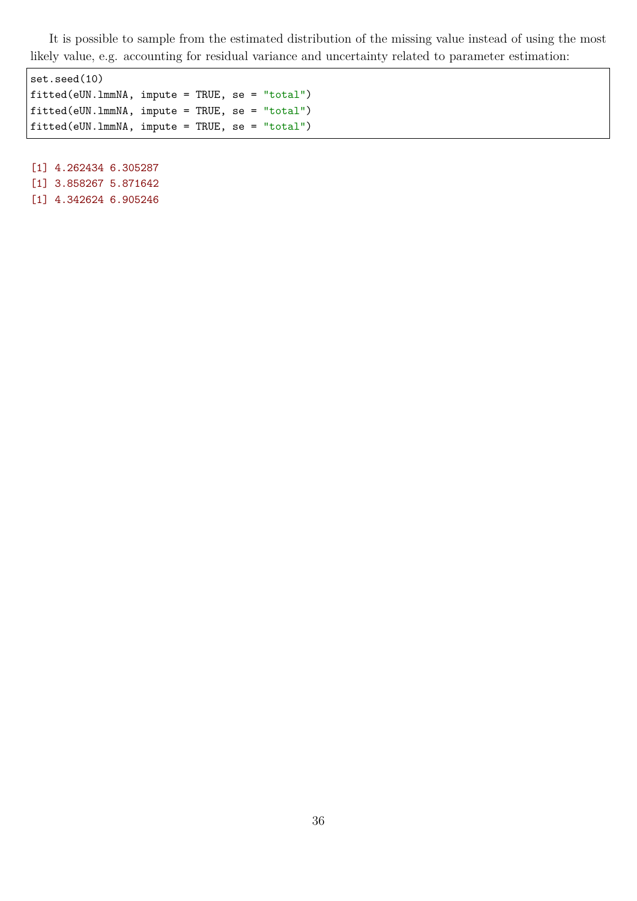It is possible to sample from the estimated distribution of the missing value instead of using the most likely value, e.g. accounting for residual variance and uncertainty related to parameter estimation:

set.seed(10) fitted(eUN.lmmNA, impute = TRUE, se = "total") fitted(eUN.lmmNA, impute = TRUE, se = "total") fitted(eUN.lmmNA, impute = TRUE, se = "total")

[1] 4.262434 6.305287 [1] 3.858267 5.871642

[1] 4.342624 6.905246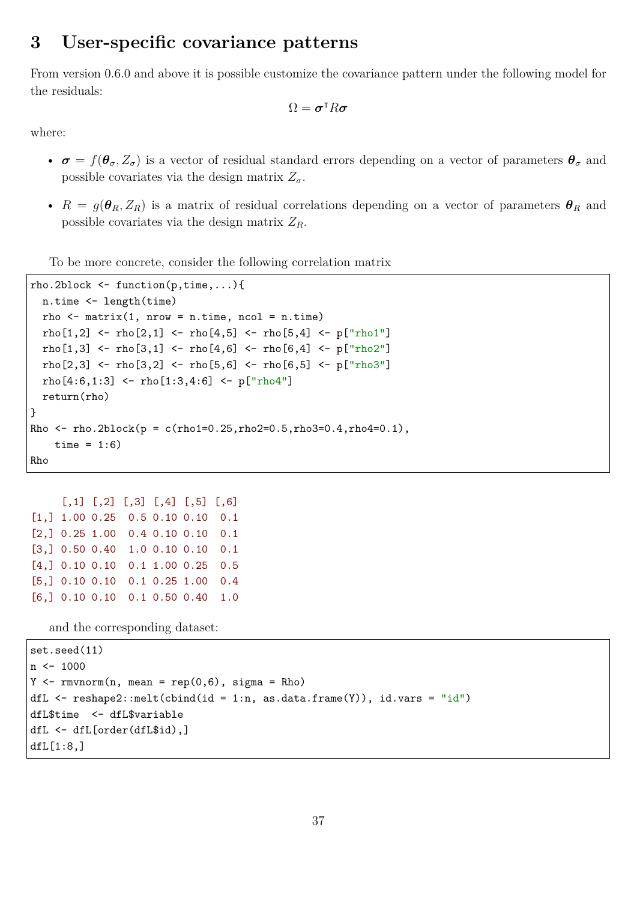# **3 User-specific covariance patterns**

From version 0.6.0 and above it is possible customize the covariance pattern under the following model for the residuals:

$$
\Omega = \pmb{\sigma}^{\intercal} R \pmb{\sigma}
$$

where:

- $\sigma = f(\theta_{\sigma}, Z_{\sigma})$  is a vector of residual standard errors depending on a vector of parameters  $\theta_{\sigma}$  and possible covariates via the design matrix  $Z_{\sigma}$ .
- $R = g(\theta_R, Z_R)$  is a matrix of residual correlations depending on a vector of parameters  $\theta_R$  and possible covariates via the design matrix *ZR*.

To be more concrete, consider the following correlation matrix

```
rho.2block <- function(p,time,...){
  n.time <- length(time)
  rho \leq matrix(1, nrow = n.time, ncol = n.time)
 rho[1,2] <- rho[2,1] <- rho[4,5] <- rho[5,4] <- p["rho1"]
  rho[1,3] <- rho[3,1] <- rho[4,6] <- rho[6,4] <- p["rho2"]
  rho[2,3] <- rho[3,2] <- rho[5,6] <- rho[6,5] <- p["rho3"]
 rho[4:6,1:3] <- rho[1:3,4:6] <- p["rho4"]
  return(rho)
}
Rho \le rho.2block(p = c(rho1=0.25, rho2=0.5, rho3=0.4, rho4=0.1),
    time = 1:6)
Rho
```

```
[,1] [,2] [,3] [,4] [,5] [,6]
[1,] 1.00 0.25 0.5 0.10 0.10 0.1
[2,] 0.25 1.00 0.4 0.10 0.10 0.1
[3,] 0.50 0.40 1.0 0.10 0.10 0.1
[4,] 0.10 0.10 0.1 1.00 0.25 0.5
[5,] 0.10 0.10 0.1 0.25 1.00 0.4
[6,] 0.10 0.10 0.1 0.50 0.40 1.0
```
and the corresponding dataset:

```
set.seed(11)
n < -1000Y \leftarrow \text{rmvnorm}(n, \text{mean} = \text{rep}(0, 6), \text{sigma} = \text{Rho})dfL \leq reshape2::melt(cbind(id = 1:n, as.data.frame(Y)), id.vars = "id")
dfL$time <- dfL$variable
dfL <- dfL[order(dfL$id),]
dfL[1:8,]
```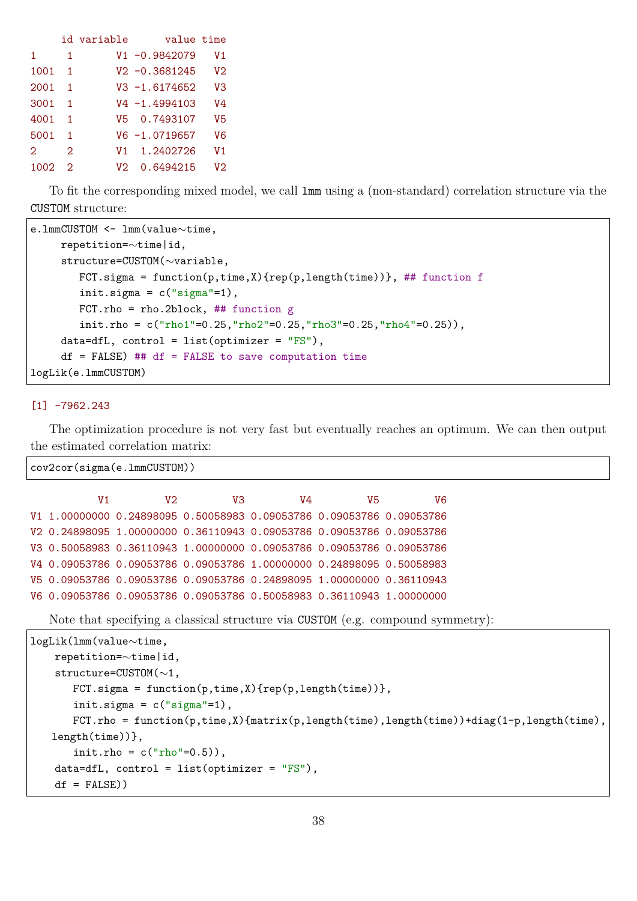|      |                   | id variable | value time       |                |
|------|-------------------|-------------|------------------|----------------|
| 1    | 1                 |             | $V1 - 0.9842079$ | V1             |
| 1001 | 1                 |             | $V2 - 0.3681245$ | V <sub>2</sub> |
| 2001 | 1                 |             | $V3 - 1.6174652$ | V3             |
| 3001 | 1                 |             | $V4 - 1.4994103$ | V4             |
| 4001 | 1                 |             | V5 0.7493107     | V5             |
| 5001 |                   |             | $V6 - 1.0719657$ | V6             |
| 2    | $\mathcal{D}_{1}$ | V1          | 1.2402726        | V1             |
| 1002 | 2                 | V2.         | 0.6494215        | V2             |

To fit the corresponding mixed model, we call lmm using a (non-standard) correlation structure via the CUSTOM structure:

```
e.lmmCUSTOM <- lmm(value∼time,
    repetition=∼time|id,
     structure=CUSTOM(∼variable,
        FCT.sigma = function(p,time,X){rep(p,length(time))}, ## function f
        init.sigma = c("sigma"-1),
       FCT.rho = rho.2block, \# function g
        init.rho = c("rho1"=0.25, "rho2"=0.25, "rho3"=0.25, "rho4"=0.25),
    data=dfL, control = list(optimizer = "FS"),
     df = FALSE) ## df = FALSE to save computation time
logLik(e.lmmCUSTOM)
```
#### [1] -7962.243

The optimization procedure is not very fast but eventually reaches an optimum. We can then output the estimated correlation matrix:

```
cov2cor(sigma(e.lmmCUSTOM))
```

| V1 | V2. | V3 | V4                                                                   | V5 | V6 |
|----|-----|----|----------------------------------------------------------------------|----|----|
|    |     |    | V1 1.00000000 0.24898095 0.50058983 0.09053786 0.09053786 0.09053786 |    |    |
|    |     |    | V2 0.24898095 1.00000000 0.36110943 0.09053786 0.09053786 0.09053786 |    |    |
|    |     |    | V3 0.50058983 0.36110943 1.00000000 0.09053786 0.09053786 0.09053786 |    |    |
|    |     |    | V4 0.09053786 0.09053786 0.09053786 1.00000000 0.24898095 0.50058983 |    |    |
|    |     |    | V5 0.09053786 0.09053786 0.09053786 0.24898095 1.00000000 0.36110943 |    |    |
|    |     |    | V6 0.09053786 0.09053786 0.09053786 0.50058983 0.36110943 1.00000000 |    |    |

Note that specifying a classical structure via CUSTOM (e.g. compound symmetry):

```
logLik(lmm(value∼time,
    repetition=∼time|id,
    structure=CUSTOM(∼1,
       FCT.sigma = function(p,time,X){rep(p,length(time))},
       init.sigma = c("sigma"-1),
       FCT.rho = function(p,time,X){matrix(p,length(time),length(time))+diag(1-p,length(time),
   length(time))},
       init.rho = c("rho" = 0.5)),data=dfL, control = list(optimizer = "FS"),
    df = FAI(SF)
```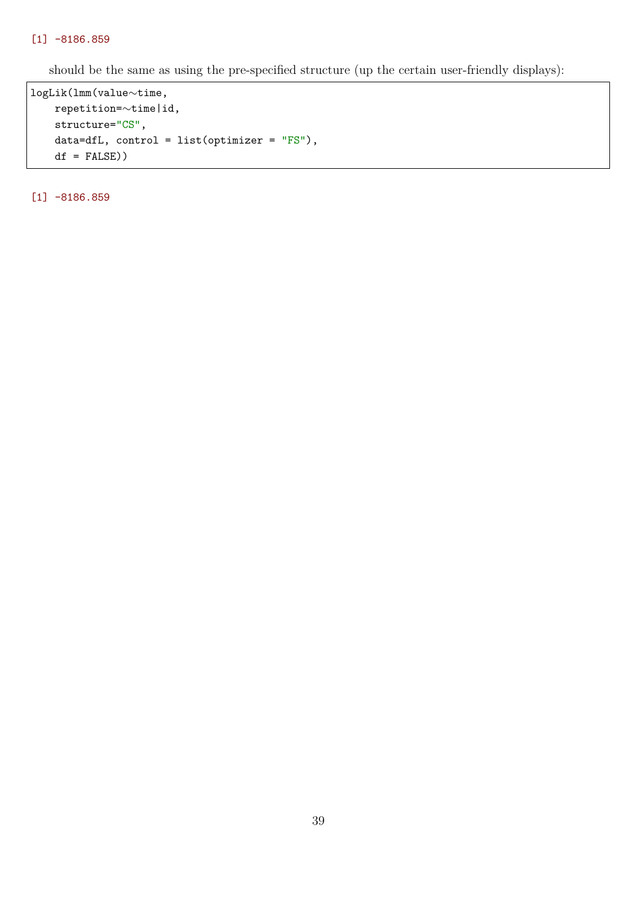#### [1] -8186.859

should be the same as using the pre-specified structure (up the certain user-friendly displays):

```
logLik(lmm(value∼time,
   repetition=∼time|id,
   structure="CS",
   data=dfL, control = list(optimizer = "FS"),
   df = FALSE))
```
[1] -8186.859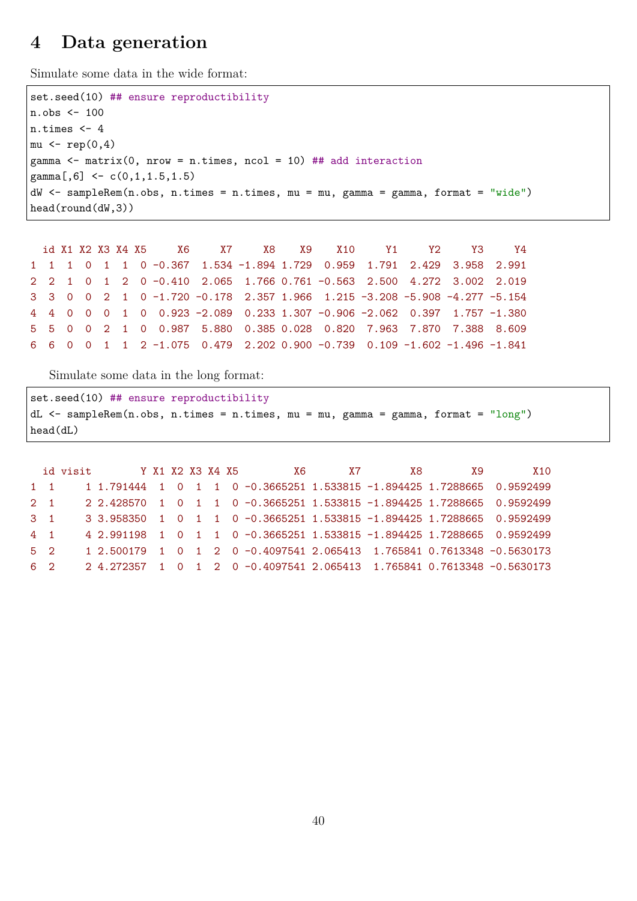# **4 Data generation**

Simulate some data in the wide format:

```
set.seed(10) ## ensure reproductibility
n.obs <- 100
n.times <- 4
mu \leftarrow rep(0,4)gamma \le matrix(0, nrow = n.times, ncol = 10) ## add interaction
gamma[0,6] <- c(0,1,1.5,1.5)dW <- sampleRem(n.obs, n.times = n.times, mu = mu, gamma = gamma, format = "wide")
head(round(dW,3))
```

|  |  |  | id X1 X2 X3 X4 X5      X6      X7      X8     X9     X10      Y1      Y2      Y3      Y4              |  |  |  |  |
|--|--|--|-------------------------------------------------------------------------------------------------------|--|--|--|--|
|  |  |  | 1 1 1 0 1 1 0 -0.367 1.534 -1.894 1.729 0.959 1.791 2.429 3.958 2.991                                 |  |  |  |  |
|  |  |  | 2 2 1 0 1 2 0 -0.410 2.065 1.766 0.761 -0.563 2.500 4.272 3.002 2.019                                 |  |  |  |  |
|  |  |  | 3 3 0 0 2 1 0 -1.720 -0.178 2.357 1.966 1.215 -3.208 -5.908 -4.277 -5.154                             |  |  |  |  |
|  |  |  | 4   4   0   0   0   1   0   0.923   -2.089   0.233   1.307   -0.906   -2.062   0.397   1.757   -1.380 |  |  |  |  |
|  |  |  | 5 5 0 0 2 1 0 0.987 5.880 0.385 0.028 0.820 7.963 7.870 7.388 8.609                                   |  |  |  |  |
|  |  |  | 6 6 0 0 1 1 2 -1.075 0.479 2.202 0.900 -0.739 0.109 -1.602 -1.496 -1.841                              |  |  |  |  |

Simulate some data in the long format:

```
set.seed(10) ## ensure reproductibility
dL <- sampleRem(n.obs, n.times = n.times, mu = mu, gamma = gamma, format = "long")
head(dL)
```

|             | id visit Y X1 X2 X3 X4 X5 |  |  | X6                                                                     | <b>X7</b> | . X8 | X9. | X10 |
|-------------|---------------------------|--|--|------------------------------------------------------------------------|-----------|------|-----|-----|
| $1 \quad 1$ |                           |  |  | 1 1.791444 1 0 1 1 0 -0.3665251 1.533815 -1.894425 1.7288665 0.9592499 |           |      |     |     |
| $2 \quad 1$ |                           |  |  | 2 2.428570 1 0 1 1 0 -0.3665251 1.533815 -1.894425 1.7288665 0.9592499 |           |      |     |     |
| $3 \quad 1$ |                           |  |  | 3 3.958350 1 0 1 1 0 -0.3665251 1.533815 -1.894425 1.7288665 0.9592499 |           |      |     |     |
| $4 \quad 1$ |                           |  |  | 4 2.991198 1 0 1 1 0 -0.3665251 1.533815 -1.894425 1.7288665 0.9592499 |           |      |     |     |
| $5 \quad 2$ |                           |  |  | 1 2.500179 1 0 1 2 0 -0.4097541 2.065413 1.765841 0.7613348 -0.5630173 |           |      |     |     |
| $6 \t2$     |                           |  |  | 2 4.272357 1 0 1 2 0 -0.4097541 2.065413 1.765841 0.7613348 -0.5630173 |           |      |     |     |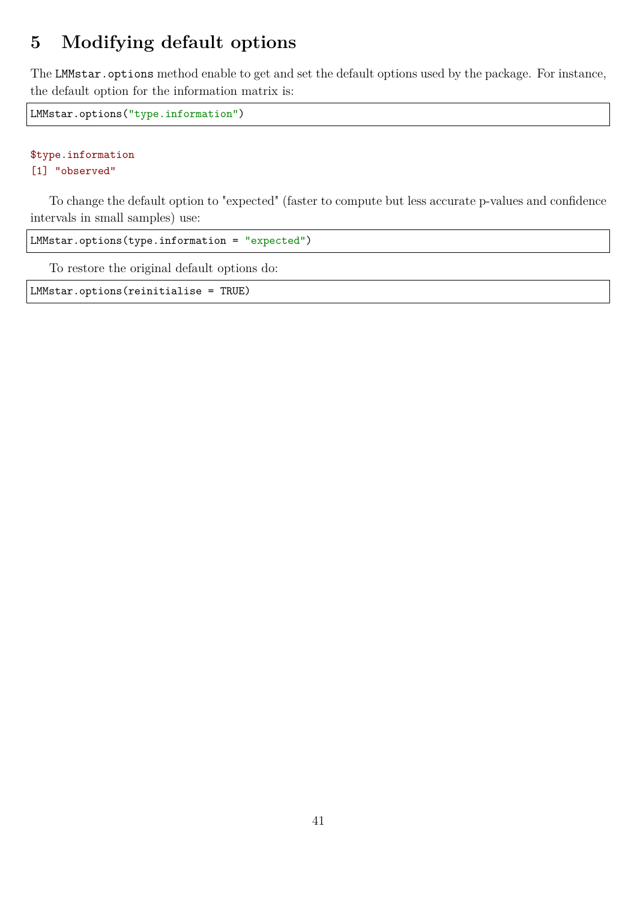# **5 Modifying default options**

The LMMstar.options method enable to get and set the default options used by the package. For instance, the default option for the information matrix is:

LMMstar.options("type.information")

#### \$type.information [1] "observed"

To change the default option to "expected" (faster to compute but less accurate p-values and confidence intervals in small samples) use:

LMMstar.options(type.information = "expected")

To restore the original default options do:

LMMstar.options(reinitialise = TRUE)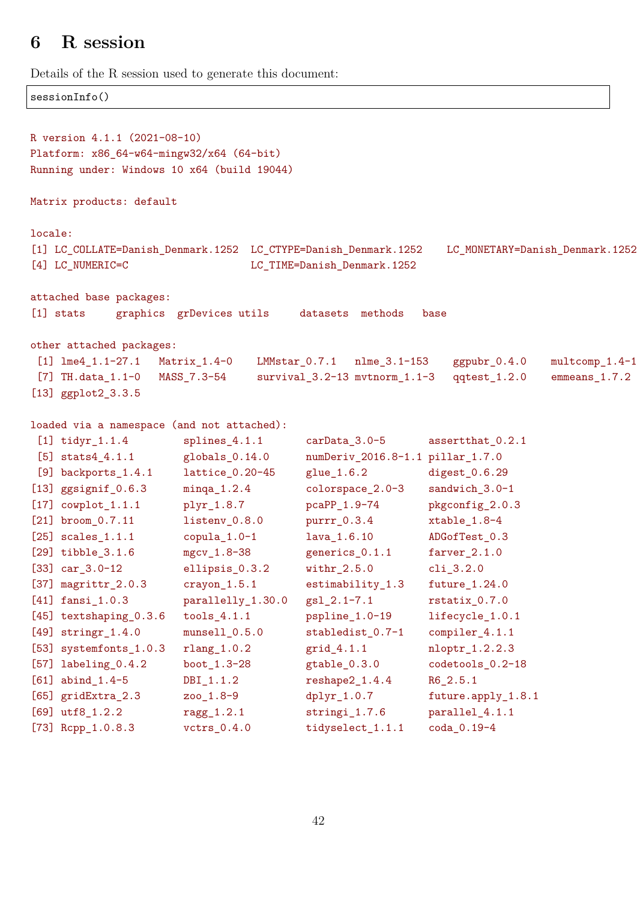# **6 R session**

sessionInfo()

Details of the R session used to generate this document:

```
R version 4.1.1 (2021-08-10)
Platform: x86_64-w64-mingw32/x64 (64-bit)
Running under: Windows 10 x64 (build 19044)
Matrix products: default
locale:
[1] LC_COLLATE=Danish_Denmark.1252 LC_CTYPE=Danish_Denmark.1252 LC_MONETARY=Danish_Denmark.1252
[4] LC_NUMERIC=C LC_TIME=Danish_Denmark.1252
attached base packages:
[1] stats graphics grDevices utils datasets methods base
other attached packages:
[1] lme4 1.1-27.1 Matrix 1.4-0 LMMstar 0.7.1 nlme 3.1-153 ggpubr 0.4.0 multcomp 1.4-1
[7] TH.data_1.1-0 MASS_7.3-54 survival_3.2-13 mvtnorm_1.1-3 qqtest_1.2.0 emmeans_1.7.2
[13] ggplot2_3.3.5
loaded via a namespace (and not attached):
[1] tidyr_1.1.4 splines_4.1.1 carData_3.0-5 assertthat_0.2.1
[5] stats4_4.1.1 globals_0.14.0 numDeriv_2016.8-1.1 pillar_1.7.0
[9] backports_1.4.1 lattice_0.20-45 glue_1.6.2 digest_0.6.29
[13] ggsignif_0.6.3 minqa_1.2.4 colorspace_2.0-3 sandwich_3.0-1
[17] cowplot_1.1.1 plyr_1.8.7 pcaPP_1.9-74 pkgconfig_2.0.3
[21] broom_0.7.11 listenv_0.8.0 purrr_0.3.4 xtable_1.8-4
[25] scales_1.1.1 copula_1.0-1 lava_1.6.10 ADGofTest_0.3
[29] tibble_3.1.6 mgcv_1.8-38 generics_0.1.1 farver_2.1.0
[33] car_3.0-12 ellipsis_0.3.2 withr_2.5.0 cli_3.2.0
[37] magrittr_2.0.3 crayon_1.5.1 estimability_1.3 future_1.24.0
[41] fansi_1.0.3 parallelly_1.30.0 gsl_2.1-7.1 rstatix_0.7.0
[45] textshaping_0.3.6 tools_4.1.1 pspline_1.0-19 lifecycle_1.0.1
[49] stringr_1.4.0 munsell_0.5.0 stabledist_0.7-1 compiler_4.1.1
[53] systemfonts_1.0.3 rlang_1.0.2 grid_4.1.1 nloptr_1.2.2.3
[57] labeling_0.4.2 boot_1.3-28 gtable_0.3.0 codetools_0.2-18
[61] abind_1.4-5 DBI_1.1.2 reshape2_1.4.4 R6_2.5.1
[65] gridExtra_2.3 zoo_1.8-9 dplyr_1.0.7 future.apply_1.8.1
[69] utf8_1.2.2 ragg_1.2.1 stringi_1.7.6 parallel_4.1.1
[73] Rcpp_1.0.8.3 vctrs_0.4.0 tidyselect_1.1.1 coda_0.19-4
```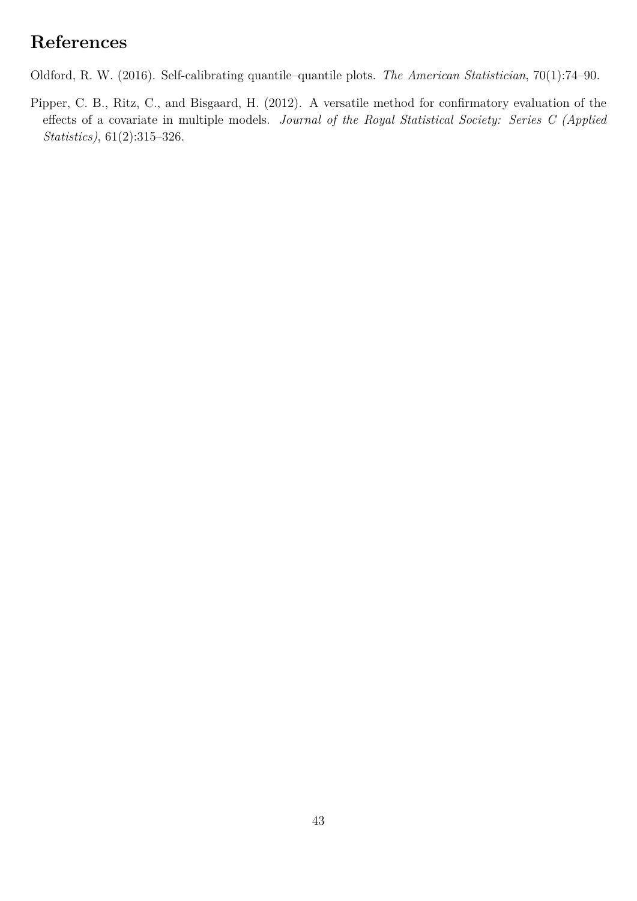# **References**

<span id="page-42-0"></span>Oldford, R. W. (2016). Self-calibrating quantile–quantile plots. *The American Statistician*, 70(1):74–90.

<span id="page-42-1"></span>Pipper, C. B., Ritz, C., and Bisgaard, H. (2012). A versatile method for confirmatory evaluation of the effects of a covariate in multiple models. *Journal of the Royal Statistical Society: Series C (Applied Statistics)*, 61(2):315–326.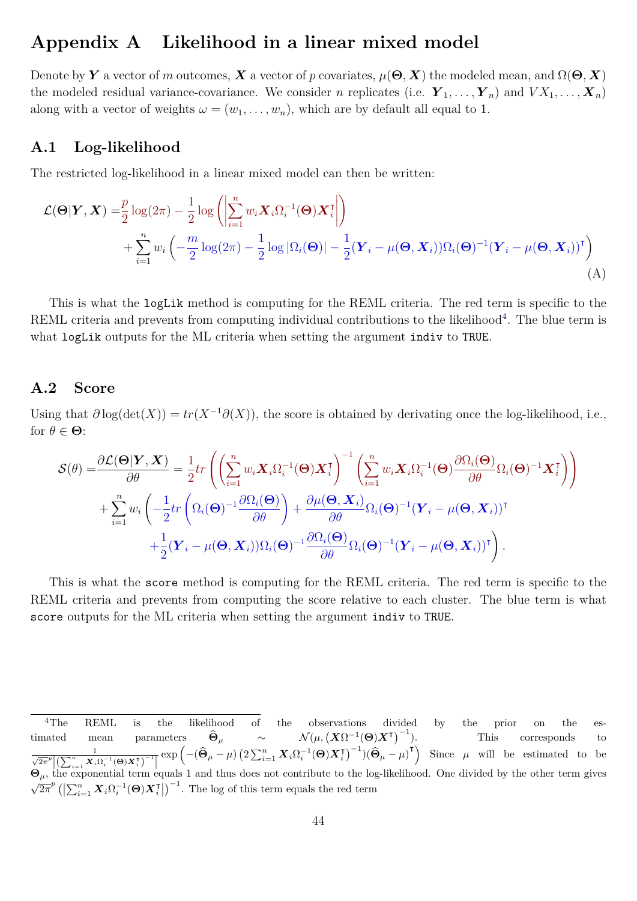# **Appendix A Likelihood in a linear mixed model**

Denote by *Y* a vector of *m* outcomes, *X* a vector of *p* covariates,  $\mu(\Theta, X)$  the modeled mean, and  $\Omega(\Theta, X)$ the modeled residual variance-covariance. We consider *n* replicates (i.e.  $Y_1, \ldots, Y_n$ ) and  $V X_1, \ldots, X_n$ ) along with a vector of weights  $\omega = (w_1, \ldots, w_n)$ , which are by default all equal to 1.

### **A.1 Log-likelihood**

The restricted log-likelihood in a linear mixed model can then be written:

<span id="page-43-0"></span>
$$
\mathcal{L}(\mathbf{\Theta}|\mathbf{Y}, \mathbf{X}) = \frac{p}{2} \log(2\pi) - \frac{1}{2} \log \left( \left| \sum_{i=1}^{n} w_i \mathbf{X}_i \Omega_i^{-1}(\mathbf{\Theta}) \mathbf{X}_i^{\mathsf{T}} \right| \right) + \sum_{i=1}^{n} w_i \left( -\frac{m}{2} \log(2\pi) - \frac{1}{2} \log |\Omega_i(\mathbf{\Theta})| - \frac{1}{2} (\mathbf{Y}_i - \mu(\mathbf{\Theta}, \mathbf{X}_i)) \Omega_i(\mathbf{\Theta})^{-1} (\mathbf{Y}_i - \mu(\mathbf{\Theta}, \mathbf{X}_i))^{\mathsf{T}} \right)
$$
(A)

This is what the logLik method is computing for the REML criteria. The red term is specific to the REML criteria and prevents from computing individual contributions to the likelihood<sup>[4](#page-0-0)</sup>. The blue term is what logLik outputs for the ML criteria when setting the argument indiv to TRUE.

### **A.2 Score**

Using that  $\partial \log(\det(X)) = tr(X^{-1}\partial(X))$ , the score is obtained by derivating once the log-likelihood, i.e., for  $\theta \in \Theta$ :

$$
\mathcal{S}(\theta) = \frac{\partial \mathcal{L}(\mathbf{\Theta}|\mathbf{Y}, \mathbf{X})}{\partial \theta} = \frac{1}{2} tr \left( \left( \sum_{i=1}^{n} w_i \mathbf{X}_i \Omega_i^{-1}(\mathbf{\Theta}) \mathbf{X}_i^{\mathsf{T}} \right)^{-1} \left( \sum_{i=1}^{n} w_i \mathbf{X}_i \Omega_i^{-1}(\mathbf{\Theta}) \frac{\partial \Omega_i(\mathbf{\Theta})}{\partial \theta} \Omega_i(\mathbf{\Theta})^{-1} \mathbf{X}_i^{\mathsf{T}} \right) \right) + \sum_{i=1}^{n} w_i \left( -\frac{1}{2} tr \left( \Omega_i(\mathbf{\Theta})^{-1} \frac{\partial \Omega_i(\mathbf{\Theta})}{\partial \theta} \right) + \frac{\partial \mu(\mathbf{\Theta}, \mathbf{X}_i)}{\partial \theta} \Omega_i(\mathbf{\Theta})^{-1} (\mathbf{Y}_i - \mu(\mathbf{\Theta}, \mathbf{X}_i))^{\mathsf{T}} \right) + \frac{1}{2} (\mathbf{Y}_i - \mu(\mathbf{\Theta}, \mathbf{X}_i)) \Omega_i(\mathbf{\Theta})^{-1} \frac{\partial \Omega_i(\mathbf{\Theta})}{\partial \theta} \Omega_i(\mathbf{\Theta})^{-1} (\mathbf{Y}_i - \mu(\mathbf{\Theta}, \mathbf{X}_i))^{\mathsf{T}} \right).
$$

This is what the score method is computing for the REML criteria. The red term is specific to the REML criteria and prevents from computing the score relative to each cluster. The blue term is what score outputs for the ML criteria when setting the argument indiv to TRUE.

<sup>&</sup>lt;sup>4</sup>The REML is the likelihood of the observations divided by the prior on the estimated mean parameters  $\widehat{\Theta}_{\mu}$  ~  $\mathcal{N}(\mu, (\mu))$  $\left[ \boldsymbol{X} \Omega^{-1}(\boldsymbol{\Theta}) \boldsymbol{X}^{\intercal} \right)^{-1}$ ). This corresponds to  $\frac{1}{\sqrt{2\pi}^p \left| \left( \sum_{i=1}^n \boldsymbol{X}_i \Omega_i^{-1}(\boldsymbol{\Theta}) \boldsymbol{X}_i^\mathsf{T} \right) \right|}$  $\frac{1}{\sqrt{1-\mu}}\exp\left(-(\widehat{\Theta}_{\mu}-\mu)\left(2\sum_{i=1}^{n} \boldsymbol{X}_{i} \Omega_{i}^{-1}(\Theta) \boldsymbol{X}_{i}^{\mathsf{T}}\right)^{-1}\right) (\widehat{\Theta}_{\mu}-\mu)^{\mathsf{T}}\right)$  Since  $\mu$  will be estimated to be  $\Theta_{\mu}$ , the exponential term equals 1 and thus does not contribute to the log-likelihood. One divided by the other term gives  $\sqrt{2\pi^p} \left( \left| \sum_{i=1}^n \boldsymbol{X}_i \Omega_i^{-1}(\boldsymbol{\Theta}) \boldsymbol{X}_i^{\intercal} \right| \right)^{-1}$ . The log of this term equals the red term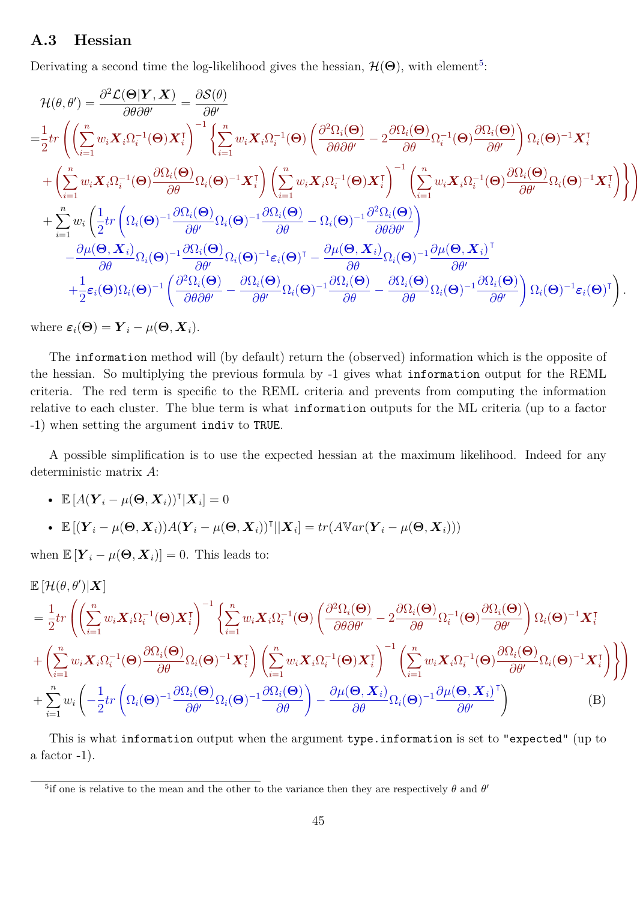### **A.3 Hessian**

Derivating a second time the log-likelihood gives the hessian,  $\mathcal{H}(\Theta)$ , with element<sup>[5](#page-0-0)</sup>:

$$
\begin{split} &\mathcal{H}(\theta,\theta')=\frac{\partial^2 \mathcal{L}(\mathbf{\Theta}|\boldsymbol{Y},\boldsymbol{X})}{\partial \theta \partial \theta'}=\frac{\partial \mathcal{S}(\theta)}{\partial \theta'}\\ =&\frac{1}{2}tr\left(\left(\sum_{i=1}^n w_i\boldsymbol{X}_i\Omega_i^{-1}(\mathbf{\Theta})\boldsymbol{X}_i^{\mathsf{T}}\right)^{-1}\left\{\sum_{i=1}^n w_i\boldsymbol{X}_i\Omega_i^{-1}(\mathbf{\Theta})\left(\frac{\partial^2 \Omega_i(\mathbf{\Theta})}{\partial \theta \partial \theta'}-2\frac{\partial \Omega_i(\mathbf{\Theta})}{\partial \theta}\Omega_i^{-1}(\mathbf{\Theta})\frac{\partial \Omega_i(\mathbf{\Theta})}{\partial \theta'}\right)\Omega_i(\mathbf{\Theta})^{-1}\boldsymbol{X}_i^{\mathsf{T}}\right.\\ &\left.+\left(\sum_{i=1}^n w_i\boldsymbol{X}_i\Omega_i^{-1}(\mathbf{\Theta})\frac{\partial \Omega_i(\mathbf{\Theta})}{\partial \theta}\Omega_i(\mathbf{\Theta})^{-1}\boldsymbol{X}_i^{\mathsf{T}}\right)\left(\sum_{i=1}^n w_i\boldsymbol{X}_i\Omega_i^{-1}(\mathbf{\Theta})\boldsymbol{X}_i^{\mathsf{T}}\right)^{-1}\left(\sum_{i=1}^n w_i\boldsymbol{X}_i\Omega_i^{-1}(\mathbf{\Theta})\frac{\partial \Omega_i(\mathbf{\Theta})}{\partial \theta'}\Omega_i(\mathbf{\Theta})^{-1}\boldsymbol{X}_i^{\mathsf{T}}\right)\right\}\\ &+\sum_{i=1}^n w_i\left(\frac{1}{2}tr\left(\Omega_i(\mathbf{\Theta})^{-1}\frac{\partial \Omega_i(\mathbf{\Theta})}{\partial \theta'}\Omega_i(\mathbf{\Theta})^{-1}\frac{\partial \Omega_i(\mathbf{\Theta})}{\partial \theta}-\Omega_i(\mathbf{\Theta})^{-1}\frac{\partial^2 \Omega_i(\mathbf{\Theta})}{\partial \theta\partial \theta'}\right)\\ &-\frac{\partial \mu(\mathbf{\Theta},\boldsymbol{X}_i)}{\partial \theta}\Omega_i(\mathbf{\Theta})^{-1}\frac{\partial \Omega_i(\mathbf{\Theta})}{\partial \theta'}\Omega_i(\mathbf{\Theta})^{-1}\varepsilon_i(\mathbf{\Theta})^{\mathsf{T}}-\frac{\partial \mu(\mathbf{\Theta},\boldsymbol{X}_i)}{\partial \theta}\Omega_i(\mathbf{\Theta})^{-1}\frac{\partial \Omega_i(\mathbf{\Theta})}{\partial \theta'}\Omega_i(\mathbf{\Theta})^{-
$$

<span id="page-44-0"></span> $\overline{\mathcal{L}}$  $\overline{\phantom{a}}$ 

where  $\varepsilon_i(\Theta) = \boldsymbol{Y}_i - \mu(\Theta, \boldsymbol{X}_i)$ .

The information method will (by default) return the (observed) information which is the opposite of the hessian. So multiplying the previous formula by -1 gives what information output for the REML criteria. The red term is specific to the REML criteria and prevents from computing the information relative to each cluster. The blue term is what information outputs for the ML criteria (up to a factor -1) when setting the argument indiv to TRUE.

A possible simplification is to use the expected hessian at the maximum likelihood. Indeed for any deterministic matrix *A*:

• 
$$
\mathbb{E}\left[A(\boldsymbol{Y}_i-\mu(\boldsymbol{\Theta},\boldsymbol{X}_i))^{\mathsf{T}}|\boldsymbol{X}_i\right]=0
$$

• 
$$
\mathbb{E}[(\boldsymbol{Y}_i - \mu(\boldsymbol{\Theta}, \boldsymbol{X}_i))A(\boldsymbol{Y}_i - \mu(\boldsymbol{\Theta}, \boldsymbol{X}_i))^{\mathsf{T}}||\boldsymbol{X}_i] = tr(A\mathbb{V}ar(\boldsymbol{Y}_i - \mu(\boldsymbol{\Theta}, \boldsymbol{X}_i)))
$$

when  $\mathbb{E}[\mathbf{Y}_i - \mu(\mathbf{\Theta}, \mathbf{X}_i)] = 0$ . This leads to:

$$
\mathbb{E}\left[\mathcal{H}(\theta,\theta')|\mathbf{X}\right] \n= \frac{1}{2}tr\left(\left(\sum_{i=1}^{n} w_{i}\mathbf{X}_{i}\Omega_{i}^{-1}(\boldsymbol{\Theta})\mathbf{X}_{i}^{\mathsf{T}}\right)^{-1}\left\{\sum_{i=1}^{n} w_{i}\mathbf{X}_{i}\Omega_{i}^{-1}(\boldsymbol{\Theta})\left(\frac{\partial^{2}\Omega_{i}(\boldsymbol{\Theta})}{\partial\theta\partial\theta'}-2\frac{\partial\Omega_{i}(\boldsymbol{\Theta})}{\partial\theta}\Omega_{i}^{-1}(\boldsymbol{\Theta})\frac{\partial\Omega_{i}(\boldsymbol{\Theta})}{\partial\theta'}\right)\Omega_{i}(\boldsymbol{\Theta})^{-1}\mathbf{X}_{i}^{\mathsf{T}}\right\} \n+ \left(\sum_{i=1}^{n} w_{i}\mathbf{X}_{i}\Omega_{i}^{-1}(\boldsymbol{\Theta})\frac{\partial\Omega_{i}(\boldsymbol{\Theta})}{\partial\theta}\Omega_{i}(\boldsymbol{\Theta})^{-1}\mathbf{X}_{i}^{\mathsf{T}}\right)\left(\sum_{i=1}^{n} w_{i}\mathbf{X}_{i}\Omega_{i}^{-1}(\boldsymbol{\Theta})\mathbf{X}_{i}^{\mathsf{T}}\right)^{-1}\left(\sum_{i=1}^{n} w_{i}\mathbf{X}_{i}\Omega_{i}^{-1}(\boldsymbol{\Theta})\frac{\partial\Omega_{i}(\boldsymbol{\Theta})}{\partial\theta'}\Omega_{i}(\boldsymbol{\Theta})^{-1}\mathbf{X}_{i}^{\mathsf{T}}\right)\right\} \n+ \sum_{i=1}^{n} w_{i}\left(-\frac{1}{2}tr\left(\Omega_{i}(\boldsymbol{\Theta})^{-1}\frac{\partial\Omega_{i}(\boldsymbol{\Theta})}{\partial\theta'}\Omega_{i}(\boldsymbol{\Theta})^{-1}\frac{\partial\Omega_{i}(\boldsymbol{\Theta})}{\partial\theta}\right)-\frac{\partial\mu(\boldsymbol{\Theta},\mathbf{X}_{i})}{\partial\theta}\Omega_{i}(\boldsymbol{\Theta})^{-1}\frac{\partial\mu(\boldsymbol{\Theta},\mathbf{X}_{i})}{\partial\theta'}^{\mathsf{T}}\right)
$$
(B)

This is what information output when the argument type.information is set to "expected" (up to a factor  $-1$ ).

<sup>&</sup>lt;sup>5</sup>if one is relative to the mean and the other to the variance then they are respectively *θ* and *θ*<sup>*'*</sup>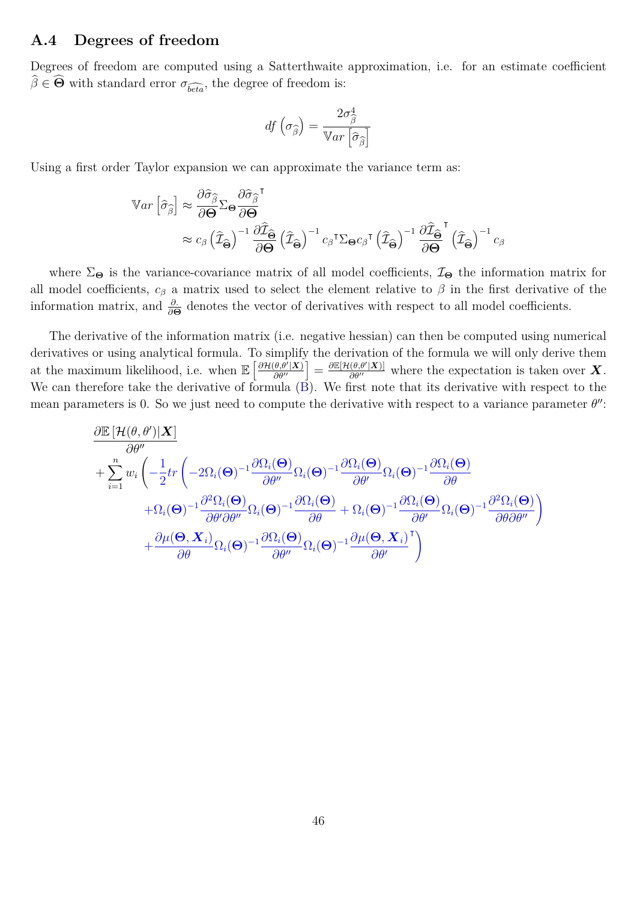### **A.4 Degrees of freedom**

Degrees of freedom are computed using a Satterthwaite approximation, i.e. for an estimate coefficient  $\hat{\beta} \in \widehat{\Theta}$  with standard error  $\sigma_{\widehat{beta}}$ , the degree of freedom is:

$$
df\left(\sigma_{\widehat{\beta}}\right) = \frac{2\sigma_{\widehat{\beta}}^4}{\mathbb{V}ar\left[\widehat{\sigma}_{\widehat{\beta}}\right]}
$$

Using a first order Taylor expansion we can approximate the variance term as:

$$
\begin{split} \nabla \text{Var}\left[\hat{\sigma}_{\hat{\beta}}\right] &\approx \frac{\partial \hat{\sigma}_{\hat{\beta}}}{\partial \Theta} \Sigma_{\Theta} \frac{\partial \hat{\sigma}_{\hat{\beta}}}{\partial \Theta}^{\mathsf{T}} \\ &\approx c_{\beta} \left(\hat{\mathcal{I}}_{\hat{\Theta}}\right)^{-1} \frac{\partial \hat{\mathcal{I}}_{\hat{\Theta}}}{\partial \Theta} \left(\hat{\mathcal{I}}_{\hat{\Theta}}\right)^{-1} c_{\beta}^{\mathsf{T}} \Sigma_{\Theta} c_{\beta}^{\mathsf{T}} \left(\hat{\mathcal{I}}_{\hat{\Theta}}\right)^{-1} \frac{\partial \hat{\mathcal{I}}_{\hat{\Theta}}}{\partial \Theta}^{\mathsf{T}} \left(\hat{\mathcal{I}}_{\hat{\Theta}}\right)^{-1} c_{\beta} \n\end{split}
$$

where  $\Sigma_{\Theta}$  is the variance-covariance matrix of all model coefficients,  $\mathcal{I}_{\Theta}$  the information matrix for all model coefficients,  $c_\beta$  a matrix used to select the element relative to  $\beta$  in the first derivative of the information matrix, and  $\frac{\partial}{\partial \Theta}$  denotes the vector of derivatives with respect to all model coefficients.

The derivative of the information matrix (i.e. negative hessian) can then be computed using numerical derivatives or using analytical formula. To simplify the derivation of the formula we will only derive them at the maximum likelihood, i.e. when  $\mathbb{E}\left[\frac{\partial \mathcal{H}(\theta, \theta' | \mathbf{X})}{\partial \theta''}\right] = \frac{\partial \mathbb{E}[\mathcal{H}(\theta, \theta' | \mathbf{X})]}{\partial \theta''}$  where the expectation is taken over *X*. We can therefore take the derivative of formula [\(B\)](#page-44-0). We first note that its derivative with respect to the mean parameters is 0. So we just need to compute the derivative with respect to a variance parameter  $\theta''$ :

$$
\begin{aligned} &\frac{\partial \mathbb{E}\left[\mathcal{H}(\theta, \theta')|\boldsymbol{X}\right]}{\partial \theta''} \\& + \sum_{i=1}^n w_i \left(-\frac{1}{2}tr\left(-2\Omega_i(\boldsymbol{\Theta})^{-1}\frac{\partial \Omega_i(\boldsymbol{\Theta})}{\partial \theta''}\Omega_i(\boldsymbol{\Theta})^{-1}\frac{\partial \Omega_i(\boldsymbol{\Theta})}{\partial \theta'}\Omega_i(\boldsymbol{\Theta})^{-1}\frac{\partial \Omega_i(\boldsymbol{\Theta})}{\partial \theta}\right.\right.\\&\left. \left. + \Omega_i(\boldsymbol{\Theta})^{-1}\frac{\partial^2 \Omega_i(\boldsymbol{\Theta})}{\partial \theta'\partial \theta''}\Omega_i(\boldsymbol{\Theta})^{-1}\frac{\partial \Omega_i(\boldsymbol{\Theta})}{\partial \theta} + \Omega_i(\boldsymbol{\Theta})^{-1}\frac{\partial \Omega_i(\boldsymbol{\Theta})}{\partial \theta'}\Omega_i(\boldsymbol{\Theta})^{-1}\frac{\partial^2 \Omega_i(\boldsymbol{\Theta})}{\partial \theta\partial \theta''}\right)\right.\\&\left. + \frac{\partial \mu(\boldsymbol{\Theta}, \boldsymbol{X}_i)}{\partial \theta}\Omega_i(\boldsymbol{\Theta})^{-1}\frac{\partial \Omega_i(\boldsymbol{\Theta})}{\partial \theta''}\Omega_i(\boldsymbol{\Theta})^{-1}\frac{\partial \mu(\boldsymbol{\Theta}, \boldsymbol{X}_i)}{\partial \theta''}\right) \end{aligned}
$$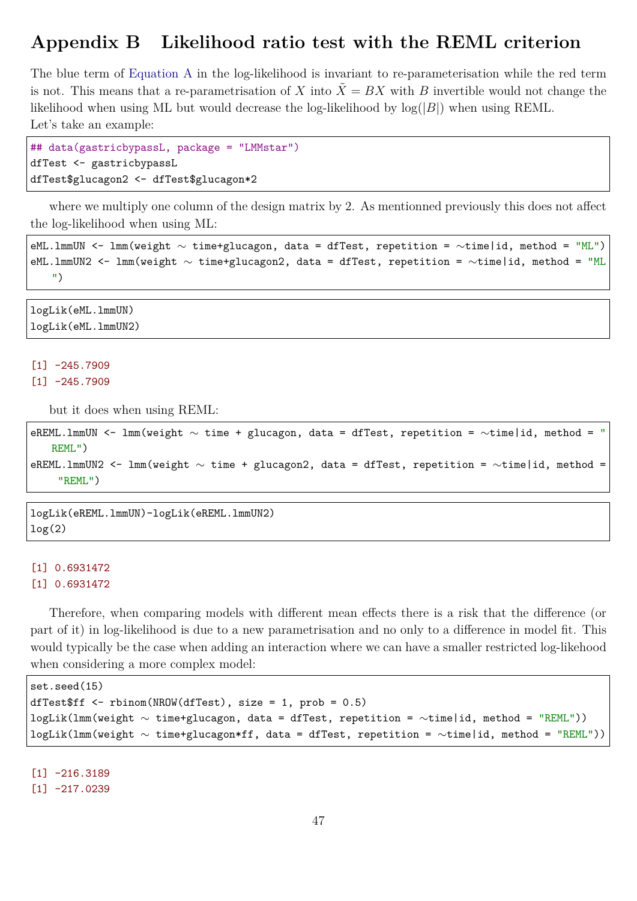# **Appendix B Likelihood ratio test with the REML criterion**

The blue term of [Equation A](#page-43-0) in the log-likelihood is invariant to re-parameterisation while the red term is not. This means that a re-parametrisation of *X* into  $X = BX$  with *B* invertible would not change the likelihood when using ML but would decrease the log-likelihood by log(|*B*|) when using REML. Let's take an example:

```
## data(gastricbypassL, package = "LMMstar")
dfTest <- gastricbypassL
dfTest$glucagon2 <- dfTest$glucagon*2
```
where we multiply one column of the design matrix by 2. As mentionned previously this does not affect the log-likelihood when using ML:

```
eML.lmmUN <- lmm(weight ∼ time+glucagon, data = dfTest, repetition = ∼time|id, method = "ML")
eML.lmmUN2 <- lmm(weight ∼ time+glucagon2, data = dfTest, repetition = ∼time|id, method = "ML
   ")
```
logLik(eML.lmmUN) logLik(eML.lmmUN2)

#### $[1] -245.7909$  $[1] -245.7909$

but it does when using REML:

```
eREML.lmmUN <- lmm(weight ∼ time + glucagon, data = dfTest, repetition = ∼time|id, method = "
   REML")
eREML.lmmUN2 <- lmm(weight ∼ time + glucagon2, data = dfTest, repetition = ∼time|id, method =
    "REML")
```
logLik(eREML.lmmUN)-logLik(eREML.lmmUN2) log(2)

### [1] 0.6931472 [1] 0.6931472

Therefore, when comparing models with different mean effects there is a risk that the difference (or part of it) in log-likelihood is due to a new parametrisation and no only to a difference in model fit. This would typically be the case when adding an interaction where we can have a smaller restricted log-likehood when considering a more complex model:

```
set.seed(15)
dfTest$ff <- rbinom(NROW(dfTest), size = 1, prob = 0.5)
logLik(lmm(weight ∼ time+glucagon, data = dfTest, repetition = ∼time|id, method = "REML"))
logLik(lmm(weight ∼ time+glucagon*ff, data = dfTest, repetition = ∼time|id, method = "REML"))
```
[1] -216.3189

 $[1] -217.0239$